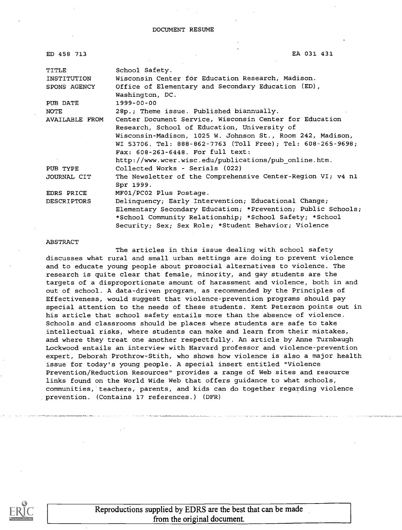ED 458 713

EA 031 431

| TITLE              | School Safety.                                               |
|--------------------|--------------------------------------------------------------|
| INSTITUTION        | Wisconsin Center for Education Research, Madison.            |
| SPONS AGENCY       | Office of Elementary and Secondary Education (ED),           |
|                    | Washington, DC.                                              |
| PUB DATE           | 1999-00-00                                                   |
| NOTE               | 28p.; Theme issue. Published biannually.                     |
| AVAILABLE FROM     | Center Document Service, Wisconsin Center for Education      |
|                    | Research, School of Education, University of                 |
|                    | Wisconsin-Madison, 1025 W. Johnson St., Room 242, Madison,   |
|                    | WI 53706. Tel: 888-862-7763 (Toll Free); Tel: 608-265-9698;  |
|                    | Fax: 608-263-6448. For full text:                            |
|                    | http://www.wcer.wisc.edu/publications/pub online.htm.        |
| PUB TYPE           | Collected Works - Serials (022)                              |
| JOURNAL CIT        | The Newsletter of the Comprehensive Center-Region VI; v4 n1  |
|                    | Spr 1999.                                                    |
| EDRS PRICE         | MF01/PC02 Plus Postage.                                      |
| <b>DESCRIPTORS</b> | Delinquency; Early Intervention; Educational Change;         |
|                    | Elementary Secondary Education; *Prevention; Public Schools; |
|                    | *School Community Relationship; *School Safety; *School      |
|                    | Security; Sex; Sex Role; *Student Behavior; Violence         |

#### ABSTRACT

The articles in this issue dealing with school safety discusses what rural and small urban settings are doing to prevent violence and to educate young people about prosocial alternatives to violence. The research is quite clear that female, minority, and gay students are the targets of a disproportionate amount of harassment and violence, both in and out of school. A data-driven program, as recommended by the Principles of Effectiveness, would suggest that violence-prevention programs should pay special attention to the needs of these students. Kent Peterson points out in his article that school safety entails more than the absence of violence. Schools and classrooms should be places where students are safe to take intellectual risks, where students can make and learn from their mistakes, and where they treat one another respectfully. An article by Anne Turnbaugh Lockwood entails an interview with Harvard professor and violence-prevention expert, Deborah Prothrow-Stith, who shows how violence is also a major health issue for today's young people. A special insert entitled "Violence Prevention/Reduction Resources" provides a range of Web sites and resource links found on the World Wide Web that offers guidance to what schools, communities, teachers, parents, and kids can do together regarding violence prevention. (Contains 17 references.) (DFR)



Reproductions supplied by EDRS are the best that can be made from the original document.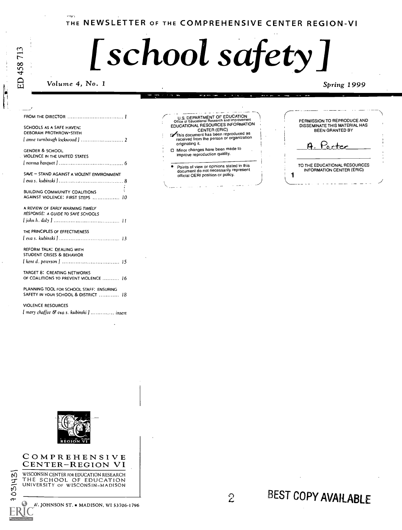#### THE NEWSLETTER OF THE COMPREHENSIVE CENTER REGION-VI

# [school safety]

#### Volume 4, No. 1

ED 458 713

#### Spring 1999

| SCHOOLS AS A SAFE HAVEN:<br><b>DEBORAH PROTHROW-STITH</b>                        |
|----------------------------------------------------------------------------------|
|                                                                                  |
| <b>GENDER &amp; SCHOOL</b><br>VIOLENCE IN THE UNITED STATES                      |
|                                                                                  |
| SAVE - STAND AGAINST A VIOLENT ENVIRONMENT                                       |
|                                                                                  |
| <b>BUILDING COMMUNITY COALITIONS</b>                                             |
| AGAINST VIOLENCE: FIRST STEPS  10                                                |
| A REVIEW OF EARLY WARNING TIMELY<br>RESPONSE: A GUIDE TO SAFE SCHOOLS            |
|                                                                                  |
| THE PRINCIPLES OF EFFECTIVENESS                                                  |
|                                                                                  |
| REFORM TALK: DEALING WITH<br>STUDENT CRISES & BEHAVIOR                           |
|                                                                                  |
| TARGET 8: CREATING NETWORKS<br>OF COALITIONS TO PREVENT VIOLENCE  16             |
| PLANNING TOOL FOR SCHOOL STAFF: ENSURING<br>SAFETY IN YOUR SCHOOL & DISTRICT  18 |
| <b>VIOLENCE RESOURCES</b>                                                        |
| [ mary chaffee & eva s. kubinski ] insert                                        |
|                                                                                  |



# COMPREHENSIVE<br>CENTER-REGION VI

WISCONSIN CENTER FOR EDUCATION RESEARCH<br>
THE SCHOOL OF EDUCATION<br>
UNIVERSITY OF WISCONSIN-MADISON<br>
O WISCONSIN CENTER FOR EDUCATION RESEARCH<br>THE SCHOOL OF EDUCATION<br>UNIVERSITY OF WISCONSIN--MADISON

W. JOHNSON ST.  $\bullet$  MADISON, WI 53706-1796

ed by ERIC

| <b>U.S. DEPARTMENT OF EDUCATION</b><br>Office of Educational Research and Improvement<br>EDUCATIONAL RESOURCES INFORMATION<br>CENTER (ERIC) |  |
|---------------------------------------------------------------------------------------------------------------------------------------------|--|
| This document has been reproduced as<br>received from the person or organization<br>originating it.                                         |  |
| □ Minor changes have been made to<br>improve reproduction quality.                                                                          |  |

Points of view or opinions stated in this document do not necessarily represent official OERI position or policy.

 $\sim$ 

| PERMISSION TO REPRODUCE AND<br>DISSEMINATE THIS MATERIAL HAS<br><b>BEEN GRANTED BY</b> |  |
|----------------------------------------------------------------------------------------|--|
| A. Porter                                                                              |  |
| TO THE EDUCATIONAL RESOURCES<br><b>INFORMATION CENTER (ERIC)</b>                       |  |
|                                                                                        |  |

# BEST COPY AVAILABLE

 $\overline{2}$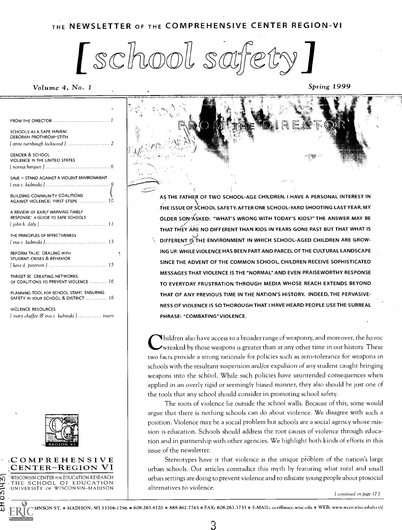THE NEWSLETTER OF THE COMPREHENSIVE CENTER REGION-VI

I school sai

Volume 4, No. 1

SCHOOLS AS A SAFE HAVEN: DEBORAH PROTHROW-STITH

VIOLENCE IN THE UNITED STATES

GENDER & SCHOOL

Spring 1999



AS THE FATHER OF TWO SCHOOL-AGE CHILDREN, I HAVE A PERSONAL INTEREST IN THE ISSUE OF SCHOOL SAFETY. AFTER ONE SCHOOL-YARD SHOOTING LAST YEAR, MY OLDER SON ASKED: "WHAT'S WRONG WITH TODAY'S KIDS?" THE ANSWER MAY BE THAT THEY ARE NO DIFFERENT THAN KIDS IN YEARS GONE PAST BUT THAT WHAT IS DIFFERENT IS THE ENVIRONMENT IN WHICH SCHOOL-AGED CHILDREN ARE GROW-ING UP. WHILE VIOLENCE HAS BEEN PART AND PARCEL OF THE CULTURAL LANDSCAPE SINCE THE ADVENT OF THE COMMON SCHOOL, CHILDREN RECEIVE SOPHISTICATED MESSAGES THAT VIOLENCE IS THE "NORMAL" AND EVEN PRAISEWORTHY RESPONSE TO EVERYDAY FRUSTRATION THROUGH MEDIA WHOSE REACH EXTENDS BEYOND THAT OF ANY PREVIOUS TIME IN THE NATION'S HISTORY. INDEED, THE PERVASIVE-NESS OF VIOLENCE IS SO THOROUGH THAT I HAVE HEARD PEOPLE USE THE SURREAL PHRASE: "COMBATING" VIOLENCE.

**N**hildren also have access to a broader range of weaponry, and moreover, the havoc wreaked by those weapons is greater than at any other time in our history. These two facts provide a strong rationale for policies such as zero-tolerance for weapons in schools with the resultant suspension and/or expulsion of any student caught bringing weapons into the school. While such policies have unintended consequences when applied in an overly rigid or seemingly biased manner, they also should be just one of the tools that any school should consider in promoting school safety.

The roots of violence lie outside the school walls. Because of this, some would argue that there is nothing schools can do about violence. We disagree with such a position. Violence may be a social problem but schools are a social agency whose mission is education. Schools should address the root causes of violence through education and in partnership with other agencies. We highlight both kinds of efforts in this issue of the newsletter.

Stereotypes have it that violence is the unique problem of the nation's large urban schools. Our articles contradict this myth by featuring what rural and small urban settings are doing to prevent violence and to educate young people about prosocial alternatives to violence.

SAVE - STAND AGAINST A VIOLENT ENVIRONMENT eva s. kubinski BUILDING COMMUNITY COALITIONS AGAINST VIOLENCE: FIRST STEPS ................. 10 A REVIEW OF EARLY WARNING TIMELY RESPONSE: A GUIDE TO SAFE SCHOOLS john h. daly 11 THE PRINCIPLES OF EFFECTIVENESS eva s. kubinski 1 13 REFORM TALK: DEALING WITH STUDENT CRISES & BEHAVIOR kent d. peterson 1 15 TARGET 8: CREATING NETWORKS OF COALITIONS TO PREVENT VIOLENCE .......... 16 PLANNING TOOL FOR SCHOOL STAFF: ENSURING SAFETY IN YOUR SCHOOL & DISTRICT ............ 18 VIOLENCE RESOURCES I mary chaffee & eva s. kubinski ] ............... insert

Ą





WISCONSIN CENTER FOR EDUCATION RESEARCH<br>T. H. E. T. S. C. H. OOL OF EDUCATION UNIVERSITY OF WISCONSIN-MADISON

<u>ဗိ (၂၂၀၀၀)</u>

3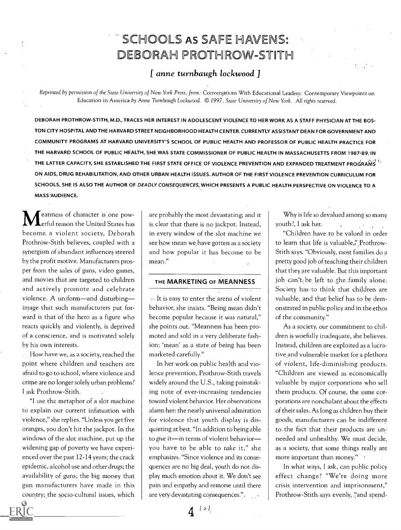# SCHOOLS AS SAFE HAVENS: DEBORAH PROTHROW-STITH

#### [ anne turnbaugh Lockwood ]

Reprinted by permission of the State University of New York Press, from: Conversations With Educational Leaders: Contemporary Viewpoints on Education in America by Anne Turnbaugh Lockwood. © 1997, State University of New York. All rights reserved.

DEBORAH PROTHROW-STITH, M.D., TRACES HER INTEREST IN ADOLESCENT VIOLENCE TO HER WORK AS A STAFF PHYSICIAN AT THE BOS-TON CITY HOSPITAL AND THE HARVARD STREET NEIGHBORHOOD HEALTH CENTER. CURRENTLY ASSISTANT DEAN FOR GOVERNMENT AND COMMUNITY PROGRAMS AT HARVARD UNIVERSITY'S SCHOOL OF PUBLIC HEALTH AND PROFESSOR OF PUBLIC HEALTH PRACTICE FOR THE HARVARD SCHOOL OF PUBLIC HEALTH, SHE WAS STATE COMMISSIONER OF PUBLIC HEALTH IN MASSACHUSETTS FROM 1987=89. IN THE LATTER CAPACITY, SHE ESTABLISHED THE FIRST STATE OFFICE OF VIOLENCE PREVENTION AND EXPANDED TREATMENT PROGRAMS ON AIDS, DRUG REHABILITATION, AND OTHER URBAN HEALTH ISSUES. AUTHOR OF THE FIRST VIOLENCE PREVENTION CURRICULUM FOR SCHOOLS, SHE IS ALSO THE AUTHOR OF DEADLY CONSEQUENCES, WHICH PRESENTS A PUBLIC HEALTH PERSPECTIVE ON VIOLENCE TO A MASS'AUDIENCE.

eanness of character is one powerful reason the United States has become, a violent society, Deborah Prothrow-Stith believes, coupled with a synergism of abundant influences steered by the profit motive. Manufacturers prosper from the sales of guns, video games, and movies that are targeted to children and actively promote and celebrate violence. A uniform-and disturbingimage that such manufacturers put forward is that of the hero as a figure who reacts quickly and violently, is deprived of a conscience, and is motivated solely by his own interests.

How have we, as a society, reached the point where children and teachers are afraid to go to school, where violence and crime are no longer solely urban problems? I ask Prothrow-Stith.

"I use the metaphor of a slot machine to explain our current infatuation with violence," she replies. "Unless you get five oranges, you don't hit the jackpot. In the windows of the slot machine, put up the widening gap of poverty we have experienced over the past 12-14 years; the crack epidemic, alcohol use and other drugs; the availability of guns; the big money that gun manufacturers have made in this country; the socio-cultural issues, which are probably the most devastating; and it is clear that there is no jackpot. Instead, in every window of the slot machine we see how mean we,have gotten as a society and how popular it has become to be mean."

#### THE MARKETING OF MEANNESS

 $\cdot$  It is easy to enter the arena of violent behavior, she insists. "Being mean didn't become popular because it was natural," she points out. "Meanness has been promoted and sold in a very deliberate fashion; 'mean' as a state of being has been marketed carefully."

In her work on public health and violence prevention, Prothrow-Stith travels widely around the U.S., taking painstaking note of ever-increasing tendencies toward violent behavior. Her observations alarm her: the nearly universal admiration for violence that youth display is disquieting at best. "In addition to being able to give it-in terms of violent behavioryou have to be able to take it," she emphasizes. "Since violence and its consequences are no big deal, youth do not display much emotion about it. We don't see pain and empathy and remorse until there are very devastating consequences.".

 $4^{12}$ 

Why is life so devalued among so many youth?, I ask her.  $\mathbf{r}$ 

"Children have to be valued in order to learn that life is valuable," Prothrow-Stith says. "Obviously, most families do a pretty good job of teaching their children that they.are valuable. But this important job can't be left to the family alone. Society has to think that children are valuable, and that belief has to be demonstrated in public policy and in the ethos of the community."

As a society, our commitment to children is woefully inadequate, she believes. Instead, children are exploited as a lucrative,and vulnerable market for a plethora of violent, life-diminishing products. "Children are viewed as economically valuable by major corporations who sell them products. Of course, the same corporations are nonchalant about the effects of their sales. As long as children buy their goods, manufacturers can be indifferent to the fact that their products are unneeded and unhealthy. We must decide, as a society, that some things really are more important than money."

In what ways, I ask, can public policy effect change? "We're doing more crisis intervention and imprisonment," Prothrow-Stith says evenly, "and spend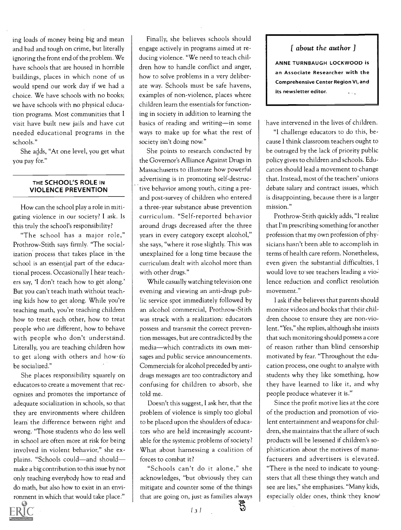ing loads of money being big and mean and bad and tough on crime, but literally ignoring the front end of the problem. We have schools that are housed in horrible buildings, places in which none of us would spend our work day if we had a choice. We have schools with no books; we have schools with no physical education programs. Most communities that I visit have built new jails and have cut needed educational programs in the schools."

She adds, "At one level, you get what you pay for."

#### THE SCHOOL'S ROLE IN VIOLENCE PREVENTION

How can the school play a role in mitigating violence in our society? I ask. Is this truly the school's responsibility?

"The school has a major role," Prothrow-Stith says firmly. "The socialization process that takes place in the school is an essential part of the educational process. Occasionally I hear teachers say, 'I don't teach how to get along.' But you can't teach 'math without teaching kids how to get along. While you're teaching math, you're teaching children how to treat each other, how to treat people who are different, how to behave with people who don't understand. Literally, you are teaching children how to get along with others and how to be socialized."

She places responsibility squarely on educators.to create a movement that recognizes and promotes the importance of adequate socialization in schools, so that they are environments where children learn the difference between right and wrong. "Those students who do less well in school are often more at risk for being involved in violent behavior," she explains. "Schools could-and shouldmake a big contribution to this issue by not only teaching everybody how to read and do math, but also how to exist in an environment in which that would take place:"

Finally, she believes schools should engage actively in programs aimed at reducing violence. "We need to teach children how to handle conflict and anger, how to solve problems in a very deliberate way. Schools must be safe havens, examples of non-violence, places where children learn the essentials for functioning in society in addition to learning the basics of reading and writing-in some ways to make up for what the rest of society isn't doing now."

She points to research conducted by the Governor's Alliance Against Drugs in Massachusetts to illustrate how powerful advertising is in promoting self-destructive behavior among youth, citing a preand post-survey of children who entered a three-year substance abuse prevention curriculum. "Self-reported behavior around drugs decreased after the three years in every category except alcohol," she says, "where it rose slightly. This was unexplained for a long time because the curriculum dealt with alcohol more than with other drugs."

While casually watching television one evening and viewing an anti-drugs public service spot immediately followed by an alcohol commercial, Prothrow-Stith was struck with a realization: educators possess and transmit the correct prevention messages, but are contradicted by the media-which contradicts its own messages and public service announcements. Commercials for alcohol preceded by antidrugs messages are too contradictory and confusing for children to absorb, she told me.

Doesn't this suggest, I ask her, that the problem of violence is simply too global to be placed upon the shoulders of educators who are held increasingly accountable for the systemic problems of society? What about harnessing a coalition of forces to combat it?

"Schools can't do it alone," she acknowledges, "but obviously they can mitigate and counter some of the things that are going on, just as families always  $\int$  about the author  $\int$ 

ANNE TURNBAUGH LOCKWOOD is an Associate Researcher with the Comprehensive Center Region VI, and its newsletter editor.  $\mathbf{r}$ 

'have intervened in the lives of children.

"I challenge educators to do this, because I think classroom teachers ought to be outraged by the lack of priority public policy gives to children and schools. Educators should lead a movement to change that. Instead, most of the teachers' unions debate salary and contract issues, which is disappointing, because there is a larger mission."

Prothrow-Stith quickly adds, "I realize that I'm prescribing something for another profession that my own profession of physicians hasn't been able to accomplish in terms of health care reform. Nonetheless, even given the substantial difficulties, would love to see teachers leading a violence reduction and conflict resolution movement."

I ask if she believes that parents should monitor videos and books that their children choose to ensure they are non-violent. "Yes," she replies, although she insists that such monitoring should possess a core of reason rather than blind censorship motivated by fear. "Throughout the education process, one ought to analyze with students why they like something, how they have learned to like it, and why people produce whatever it is."

Since the profit motive lies at the core of the production and promotion of violent entertainment and weapons for children, she maintains that the allure of such products will be lessened if children's sophistication about the motives of manufacturers and advertisers is elevated. "There is the need to indicate to youngsters that all these things they watch and see are lies," she emphasizes. "Many kids, especially older ones, think they know'



5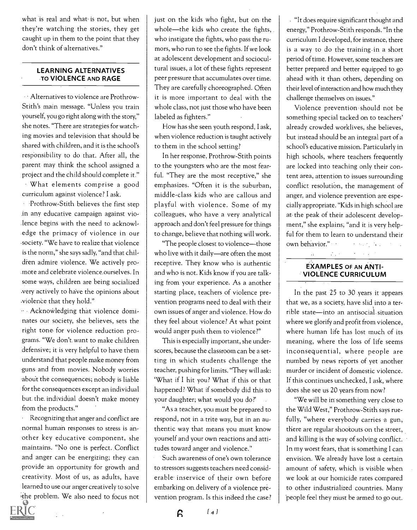what is real and what is not, but when they.'re watching the stories, they get caught up in them to the point that they don't think of alternatives."

#### LEARNING ALTERNATIVES TO VIOLENCE AND RAGE

Alternatives to violence are Prothrow-Stith's main message. "Unless you train yourself, you go right along with the story," she notes. "There are strategies for watching movies and television that should be shared with children, and it is the school's responsibility to do that. After all, the parent may think the school assigned a project and the child should complete it."

What elements comprise a good curriculum against violence? I ask.

-Prothrow-Stith believes the first step .in any educative campaign against violence begins with the need to acknowledge the primacy of violence in our -society. "We have to realize that violence is the norm," she says sadly, "and that children admire violence. We actively promote and celebrate violence.ourselves. In some ways, children are being socialized very actively to have the opinions about violence that they hold."

AcknoWledging that violence dominates our society, she believes, sets the right tone- for violence reduction programs. "We don't. want to make children defensive; it is very helpful to have them understand that people make money from -guns and from movies. Nobody worries about the consequences; nobody is liable for the consequences except an individual but the individual doesn't make money from the products."

Recognizing that anger and conflict are normal human responses to stress is another key educative component, she maintains. "No one is perfect. Conflict and anger can be energizing; they can -provide an opportunity for growth and creativity. Most of us, as adults, have learned to use our anger creatively to solve the problem. We also need to focus not just on the kids who fight, but on the whole—the kids who create the fights, who instigate the fights, who pass the rumors, who run to see the fights. If we look at adolescent development and sociocultural issues, a lot of these fights represent peer pressure that accumulates over time. They are carefully choreographed. Often it is more important to deal with the whole class, not just those who have been labeled as fighters."

How has she seen youth respond, I ask, when violence reduction is taught actively to them in the school setting?

In her response, Prothrow-Stith points to the youngsters who are the most fearful. "They are the most receptive," she emphasizes. "Often it is the suburban, middle-class kids who are callous and playful with violence. Some of my colleagues, who have a very analytical approach and don't feel pressure for things to change, believe that nothing will work.

"The people closest to violence-those who live with it daily—are often the most receptive. They know who is authentic and who is not. Kids know if you are talking from your experience. As a another starting place, teachers of violence prevention programs need to deal with their own issues of anger and violence. How do they feel about violence? At what point would anger push them to violence?"

This is especially important, she underscores, because the classroom can be a setting in which students challenge the teacher, pushing for limits. "They will ask: 'What if I hit you? What if this or that happened? What if somebody did this to your daughter; what would you do?'

"As a teacher, you must be prepared to respond, not in a trite way, but in an authentic way that means you must know yourself and your own reactions and attitudes toward anger and violence."

Such awareness of one's own tolerance to stressors suggests teachers need considerable inservice of their own before embarking on. delivery of a violence prevention program. Is this indeed the case?

"It does require significant thought and energy," Prothrow-Stith responds. "In the curriculum I developed, for instance, there is a way to do the training in a short period of time. However, some teachers are better prepared and better equipped to go ahead with it than others, depending on their level of interaction and how much they challenge themselves on issues."

Violence prevention should not be something special tacked on to teachers' already crowded worklives, she believes, but instead should be an integral part of a school's educative mission. Particularly in high schools, where teachers frequently are locked into teaching only their content area, attention to issues surrounding conflict resolution, the management of anger, and violence prevention are especially appropriate. "Kids in high school are at the peak of their adolescent development," she explains, "and it is very helpful for them to learn to understand their own behavior."

#### EXAMPLES OF AN ANTI-VIOLENCE CURRICULUM

 $\lambda_{\rm{max}}$  and  $\lambda_{\rm{max}}$ 

 $\mathcal{P}(\mathcal{P})$ 

In the past 25 to 30 years it appears that we, as a society, have slid into a terrible state-into an antisocial situation where we glorify and profit from violence, where human life has lost much of its meaning, where the loss of life seems inconsequential, where people are numbed by news reports of yet another murder or incident of domestic violence. If this continues unchecked, I ask, where does she see us 20 years from now?

"We will be in-something very close to the Wild West," Prothrow-Stith says ruefully, "where everybody carries a gun, there are regular shootouts on the street, and killing is the way of solving conflict. In my worst fears, that is something I can envision. We already have lost a certain amount of safety, which is visible when we look at our homicide rates compared to other industrialized countries. Many people feel they must be armed to go out.



 $6^{14}$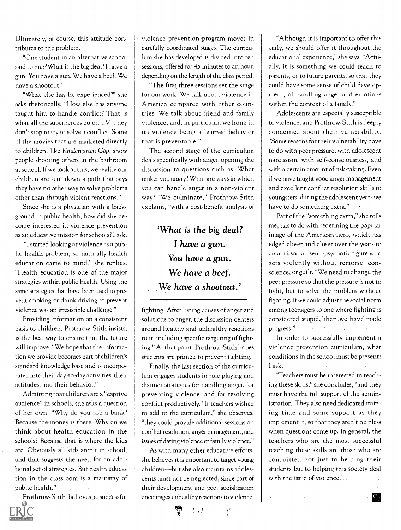Ultimately, of course, this attitude contributes to the problem.

"One student in an alternative school said to me: 'What is the big deal? I have a gun. You have a gun. We have a beef. We have a shootout.'

"What else has he experienced?" she asks rhetorically. "How else has anyone taught him to handle conflict? That is what all the superheroes do on TV. They don't stop to try to solve a conflict. Some of the movies that are marketed directly to children, like Kindergarten Cop, show people shooting others in the bathroom at school. If we look at this, we realize our children are sent down a path that says they have no other way to solve problems other than through violent reactions."

Since she is a physician with a background in public health, how did she become interested in violence prevention as an educative mission for schools? I ask.

"I started looking at violence as a public health problem, so naturally health education came to mind," she replies. "Health education is one of the major strategies within public health. Using the same strategies that have been used to prevent smoking or drunk driving to prevent violence was an irresistible challenge."

Providing information on a consistent basis to children, Prothrow-Stith insists, is the best way to ensure that the future will improve. "We hope that the information we provide becomes part of children's standard knowledge base and is incorporated into their day-to-day activities, their attitudes, and their behavior."

Admitting that children are a "captive audience" in schools, she asks a question of her own: "Why do you rob a bank? Because the- money is there. Why do we think about health education in the schools? Because that is where the kids are. Obviously all kids aren't in school, and that suggests the need for an additional set of strategies. But health education in the. classroom is a mainstay of public health."  $\sim$ 

.Prothrow-Stith believes .a successful

violence prevention program moves in carefully coordinated stages. The curriculum she has developed is divided into ten sessions, offered for 45 minutes to an hour, depending on the length of the class period.

"The first three sessions set the stage for our work. We talk about violence in America compared with other countries. We talk about friend and family violence, and, in particular, we hone in on violence being a learned behavior that is preventable."

The second stage of the curriculum deals specifically with anger, opening the discussion to questions such as: What makes you angry? What are ways in which you can handle anger in a non-violent way? "We culminate," Prothrow-Stith explains, "with a cost-benefit analysis of

> 'What is the big deal? I have a gun. You have a gun. We have a beef. We have a shootout.'

fighting. After listing causes of anger and solutions to anger, the discussion centers around healthy and unhealthy reactions to it, including specific targeting of fighting." At that point, Prothrow-Stith hopes students are primed to prevent fighting.

Finally, the last section of the curriculum engages students in role playing and distinct strategies for handling anger, for preventing violence, and for resolving conflict productively. "If teachers wished to add to the curriculum," she observes, "they could provide additional sessions on conflict resolution, anger management, and issues of dating violence or family violence."

As with many other educative efforts, she believes it is important to target young children—but she also maintains adolescents must not be neglected, since part of their development and peer socialization encourages-unhealthy reactions to violence.

 $11$   $13$ 

Ġ

'11))

"Although it is important to offer this early, we should offer it throughout the educational experience," she says. "Actually, it is something we could teach to parents, or to future parents, so that they could have some sense of child development, of handling anger and emotions within the context of a family."

Adolescents are especially susceptible to violence, and Prothrow-Stith is deeply concerned about their vulnerability. "Some reasons for their vulnerability have to do with peer pressure, with adolescent narcissism, with self-consciousness, and with a certain amount of risk-taking. Even if we have taught good anger management and excellent conflict resolution skills to youngsters, during the adolescent years we have to do something extra."

Part of the "something extra," she tells me, has to do with redefining the popular image of the American hero, which has edged closer and closer over the years to an anti-social, semi-psychotic figure who acts violently without remorse, conscience, or. guilt. "We need to change the peer pressure so that the pressure is not to fight, but to solve the problem without fighting. If we could adjust the social norm among teenagers to one where fighting is considered stupid, then we have made progress."  $\mathcal{L}^{\text{max}}$  ,  $\mathcal{L}^{\text{max}}$ 

In order to successfully implement a violence prevention curriculum, what conditions in the school must be present? I ask.

"Teachers must be interested in teaching these skills," she concludes, "and they must have the full support of the administration. They also need dedicated training time and some support as they implement it, so that they aren't helpless when questions come up. In general, the teachers who are the most successful teaching these skills are those who are committed not just to helping their students but to helping this society deal with the issue of violence.".

 $C_{C}$ 

 $\sim 10^{-1}$  .

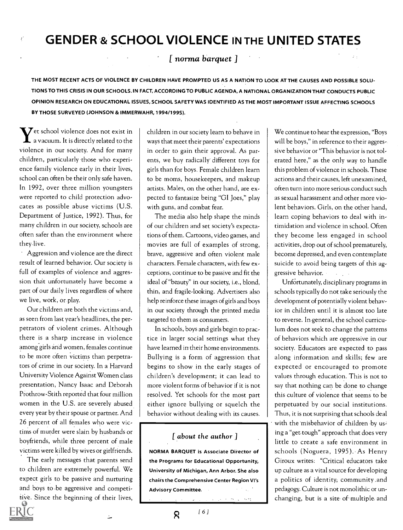# GENDER & SCHOOL VIOLENCE IN THE UNITED STATES

[ norma barquet ]

THE MOST RECENT ACTS OF VIOLENCE BY CHILDREN HAVE PROMPTED US AS A NATION TO LOOK AT THE CAUSES AND POSSIBLE SOLU-TIONS TO THIS CRISIS IN OUR SCHOOLS. IN FACT, ACCORDING TO PUBLIC AGENDA, A NATIONAL ORGANIZATION THAT CONDUCTS PUBLIC OPINION RESEARCH ON EDUCATIONAL ISSUES, SCHOOL SAFETY WAS IDENTIFIED AS THE MOST IMPORTANT ISSUE AFFECTING SCHOOLS BY THOSE SURVEYED (JOHNSON & IMMERWAHR, 1994/1995).

 $\boldsymbol{V}$ et school violence does not exist in a vacuum. It is directly related to the violence in our society. And for many children, particularly those who experience family violence early in their lives, school can often be their only safe haven. In 1992, over three million youngsters were reported to child protection advocates as possible abuse victims (U.S. Department of Justice, 1992). Thus, for many children in our society, schools are often safer than the environment where they-live.

Aggression and violence are the direct result of learned behavior. Our society is full of examples of violence and aggression that unfortunately have become a part of our daily lives regardless of where we live, work, or play.

Our children are both the victims and, as seen from last year's headlines, the perpetrators of violent crimes. Although there is a sharp increase in violence among girls and women, females continue to be more often victims than perpetrators of crime in our society. In a Harvard University Violence Against Women class presentation, Nancy Isaac and Deborah Prothrow-Stith reported that four million women in the U.S. are severely abused every year by their spouse or partner. And 26 percent of all females who were victims of murder were slain by husbands or boyfriends, while three percent of male victims were killed by wives or girlfriends.

The early messages that parents send to children are extremely powerful. We expect girls to be passive and nurturing and boys to -be aggressive and competitive. Since the beginning of their lives, children in our society learn to behave in ways that meet their parents' expectations in order to gain their approval. As parents, we buy radically different toys for girls than for boys. Female children learn to be moms, housekeepers, and makeup artists. Males, on the other hand, are expected to fantasize being "GI Joes," play with guns, and combat fear.

The media also help shape the minds of our children and set society's expectations of them. Cartoons, video games, and movies are full of examples of strong, brave, aggressive and often violent male characters. Female characters, with few exceptions, continue to be passive and fit the ideal of "beauty" in our society, i.e., blond, thin, and fragile-looking. Advertisers also help reinforce these images of girls and boys in our society through the printed media targeted to them as consumers.

In schools, boys and girls begin to practice in larger social settings what they have learned in their home environments. Bullying is a form of aggression that begins to show in the early stages of children's development; it can lead to more violent forms of behavior if it is not resolved. Yet schools for the most part either ignore bullying or squelch the behavior without dealing with its causes.

#### $[$  about the author  $]$

NORMA BARQUET is Associate Director of the Programs for Educational Opportunity, University of Michigan, Ann Arbor. She also chairs the Comprehensive Center Region VI's Advisory Committee.

 $\mathcal{A}=\mathcal{A}(\mathcal{A})$  .

We continue to hear the expression, "Boys will be boys," in reference to their aggressive behavior or "This behavior is not tolerated here," as the only way to handle this problem of violence in schools. These actions and their causes, left unexamined, often turn into more serious conduct such as sexual harassment and other more violent behaviors. Girls, on the other hand, learn coping behaviors to deal with intimidation and violence in school. Often they become less engaged in school activities, drop out of school prematurely, become depressed, and even contemplate suicide to avoid being targets of this aggressive behavior. .

Unfortunately, disciplinary programs in schools typically do not take seriously the development of potentially violent behavior in children until it is almost too late to reverse. In-general, the school curriculum does not seek to change the patterns of behaviors which are oppressive in our society. Educators are expected to pass along information and skills; few are expected or encouraged to promote values through education. This is not to say that nothing can be done to change this culture of violence that seems to be perpetuated by our social institutions. Thus, it is not surprising that schools deal with the misbehavior of children by using a "get-tough" approach that does very little to create a safe environment in schools (Noguera, 1995). As Henry Giroux writes: "Critical educators take up culture as a vital source for developing a politics of identity, community . and pedagogy. Culture is not monolithic or unchanging, but is a site of- multiple- and



 $\mathcal{L}$ 

161

ନ୍ଦ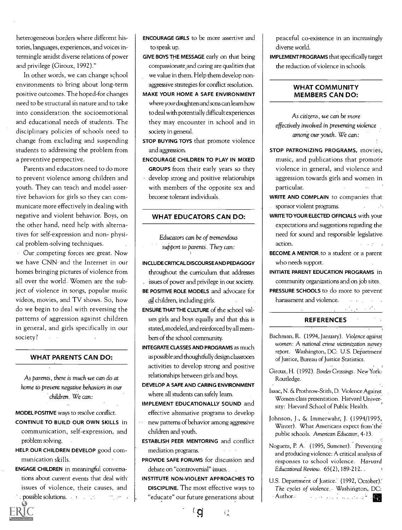heterogeneous borders where different histories, languages, experiences, and voices intermingle amidst diverse relations of power and privilege (Giroux, 1992)."

In other words, we can change school environments to bring about long-term positive outcomes. The hoped-for changes need to be structural in nature and to take into consideration the socioemotional and educational needs of students. The disciplinary policies of schools need to change from excluding and suspending students to addressing the problem from a preventive perspective.

Parents and educators need to do more to prevent violence among children and youth. They can teach and model assertive behaviors for girls so they can communicate more effectively in dealing with negative and violent behavior. Boys, on the other hand, need help with alternatives for self-expression and non- physical problem-solving techniques.

Our .competing forces are. great. Now we have CNN- and the Internet in our homes bringing pictures of violence from all over the world. Women are the subject of violence in songs, popular music videos, movies, and TV shows. So, how do we begin to deal with reversing the patterns of aggression against children in general, and girls specifically in our society?

#### WHAT PARENTS CAN DO:

As parents, there is much we can do at home to prevent negative behaviors in our children. We can:

MODEL POSITIVE ways to resolve conflict. CONTINUE TO BUILD OUR OWN SKILLS in communication, self-expression, and problemsolving.

HELP. OUR CHILDREN DEVELOP good communication skills.

ENGAGE CHILDREN in meaningful conversations about. current events that deal with issues of violence, their causes, and possible solutions.  $\mathcal{D}^{\text{in}}_{\text{G}}$  , where  $\mathcal{D}^{\text{in}}_{\text{G}}$  ENCOURAGE GIRLS to be more assertive and to speak up.

- GIVE BOYS THE MESSAGE early on that being compassionate,and caring are qualities that we value in them. Help them develop nonaggressive strategies for conflict resolution.
- MAKE YOUR HOME A SAFE ENVIRONMENT where your daughters and sons can learn how to deal with potentially difficult experiences they may encounter in school and in society in general.
- STOP BUYING TOYS that promote violence and aggression.
- ENCOURAGE CHILDREN TO PLAY IN MIXED GROUPS from their early years so they
- develop strong and positive relationships with members of the opposite sex and become tolerant individuals.

#### WHAT EDUCATORS CAN DO:

Educators can be of tremendous support to parents. They can:

#### INCLUDE CRIIICAL DISCOURSE AND PEDAGOGY

- throughout the curriculum that addresses . issues of power and privilege in our society. BE POSITIVE ROLE MODELS and advocate for all children, including girls.
- ENSURE THAT THE CULTURE of the school values girls and boys equally and that this is stated, modeled, and reinforced by all members of the school community.
- INTEGRATE CLASSES AND PROGRAMS as much as possible and thoughtfully design classroom activities to develop strong and positive relationships between girls and boys.
- DEVELOP A SAFE AND CARING ENVIRONMENT where all students can safely learn.
- IMPLEMENT EDUCATIONALLY SOUND and effective alternative programs to develop new patterns of behavior among aggressive children and youth.
- ESTABLISH PEER MENTORING and conflict mediation programs.
- PROVIDE SAFE FORUMS for discussion and debate on "controversial" issues.

INSTITUTE NON-VIOLENT APPROACHES TO DISCIPLINE. The most effective ways to "educate" our future generations about peaceful co-existence in an increasingly diverse world.

IMPLEMENT PROGRAMS that specifically target the reduction of violence in schools.

#### WHAT COMMUNITY MEMBERS CAN DO:

As citizens, we can be more effectively involved in preventing violence among our youth. We can:

- STOP PATRONIZING PROGRAMS, movies, music, and publications that promofe violence in general, and violence and aggression towards girls and women in particular.
- WRITE AND COMPLAIN to companies that sponsor violent programs. and a
- WRITE TO YOUR ELECTED OFFICIALS with your expectations and suggestions regarding the need for sound and responsible legislative. action.
- BECOME A MENTOR.to a student or a parent who needs support.
- INITIATE PARENT EDUCATION PROGRAMS in community organizations and on job sites. PRESSURE SCHOOLS to do more to prevent

harassment and violence.

#### **REFERENCES**

- Bachman, R. (1994, January). Violence against women: A national crime victimization survey report. Washington, DC: U.S. Department of Justice, Bureau of Justice Statistics.
- Giroux, H. (1992). Border Crossings. New York: Routledge.
- Isaac, N. & Prothrow-Stith, D. Violence Against Women class presentation. Harvard University: Harvard School of Public Health.
- Johnson, J., & lmmerwahr, J. (1994/1995, Winter). What Americans expect from'the public schools. American Educator, 4-13.
- Noguera, P. A. (1995, Summer). Preventing and producing violence: A critical analysis of responses to school violence. Harvard Educational Review.  $65(2)$ , 189-212...
- U.S. Department of Justice. (1992, October)<sup>\*</sup> The cycles of violence. Washington, DC: Author.  $C_0$  is a second construction of  $C_0$



 $\mathbf{p}$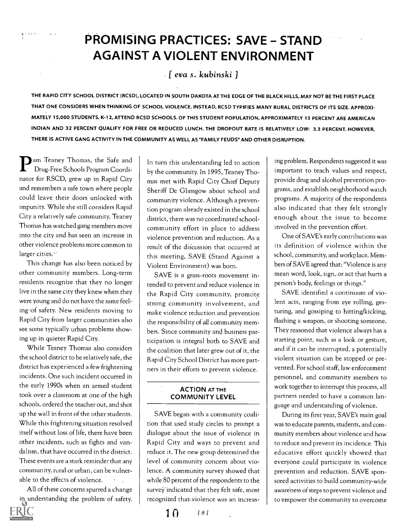# PROMISING PRACTICES: SAVE - STAND AGAINST A VIOLENT ENVIRONMENT

 $\lceil$  eva s. kubinski ]

THE RAPID CITY SCHOOL DISTRICT (RCSD), LOCATED IN SOUTH DAKOTA AT THE EDGE OF THE BLACK HILLS, MAY NOT BE THE FIRST PLACE THAT ONE CONSIDERS WHEN THINKING OF SCHOOL VIOLENCE. INSTEAD, RCSD TYPIFIES MANY RURAL DISTRICTS OF ITS SIZE. APPROXI-MATELY 15,000 STUDENTS, K-12, ATTEND RCSD SCHOOLS. OF THIS STUDENT POPULATION, APPROXIMATELY 15 PERCENT ARE AMERICAN INDIAN AND 32 PERCENT QUALIFY FOR FREE OR REDUCED LUNCH. THE DROPOUT RATE IS RELATIVELY LOW: 3.3 PERCENT. HOWEVER, THERE IS ACTIVE GANG ACTIVITY IN THE COMMUNITY AS WELL AS "FAMILY FEUDS" AND OTHER DISRUPTION.

am Teaney Thomas, the Safe and Drug-Free Schools Program Coordinator for RSCD, grew up in Rapid City and remembers a safe town where people could leave their doors unlocked with impunity. While she still considers Rapid City a relatively safe community, Teaney Thomas has watched gang members move into the city and has seen an increase in other violence problems more common to larger cities.<sup>11</sup>

This change has also been noticed by other community members. Long-term residents recognize that they no longer live in the same city they knew when they were young and do not have the same feeling of safety. New residents moving to Rapid City from larger communities also see some typically urban problems showing up in quieter Rapid City.

While Teaney Thomas also considers the school district to be relatively safe, the district has experienced a few frightening incidents. One such incident occurred in the early 1990s when an armed student took over a classroom at one of the high schools, ordered the teacher out, and shot up the wall in front of the other students. While this frightening situation resolved itself without loss of life, there have been other incidents, such as fights and vandalism, that have occurred in the district. These events are a stark reminder that any community, rural or urban, can be vulnerable to the effects of violence. .

All of these concerns spurred a change in understanding the problem of safety. In turn this understanding led to action by the community. In 1995, Teaney Thomas met with Rapid City Chief Deputy Sheriff De Glassgow about school and community violence. Although a prevention program already existed in the school district, there was no coordinated schoolcommunity effort in place to address violence prevention and reduction. As a result of the discussion that occurred at this meeting, SAVE (Stand Against a Violent Environment) was born.

SAVE is a grass-roots movement intended to prevent and reduce violence in the Rapid City community, promote strong community involvement, and make violence reduction and prevention the responsibility of all community members. Since community and business participation is integral both to SAVE and the coalition that later grew out of it, the Rapid City School District has more partners in their efforts to prevent violence.

#### ACTION AT THE COMMUNITY LEVEL

SAVE began with a community coalition that used study circles to prompt a dialogue about the issue of violence in Rapid City and ways to prevent and reduce it. The new group determined the level of community concern about violence. A community survey showed that while 80 percent of the respondents to the survey indicated that they felt safe, most recognized that- violence was an increasing problem. Respondents suggested it was important to teach values and respect, provide drug and alcohol prevention programs, and establish neighborhood watch programs. A majority of the respondents also indicated that they felt strongly enough about the issue to become involved in the prevention effort.

One of SAVE's early contributions was its definition of violence within the school, community, and workplace. Members of SAVE agreed that: "Violence is any mean word, look, sign, or act that hurts a person's body, feelings or things."

SAVE identified a continuum of violent acts, ranging from eye rolling, gesturing, and gossiping to hitting/kicking, flashing a weapon, or shooting someone. They reasoned that violence always has a starting point, such as a look or gesture, and if it can be interrupted, a potentially violent situation can be stopped or prevented. For school staff, law enfotcement personnel, and community members to work together to interrupt this process, all partners needed to have a common language and understanding of violence.

During its first year, SAVE's main goal was to educate parents, students, and community members about violence and how to reduce and prevent its incidence. This educative effort quickly showed that everyone could participate in violence prevention and reduction. SAVE sponsored activities to build community-wide awareness of steps to prevent violence and to empower the community to overcome

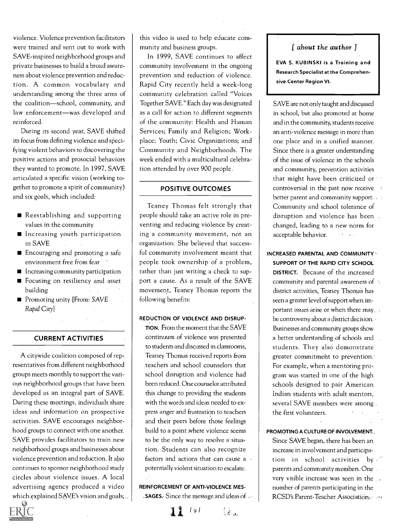violence. Violence prevention facilitators were trained and sent out to work with SAVE-inspired neighborhood groups and private businesses to build a broad awareness about violence prevention and reduction. A common vocabulary and understanding among the three arms of the coalition-school, community, and law enforcement-was developed and reinforced.

During its second year, SAVE shifted its focus from defining violence and specifying violent behaviors to discovering the positive actions and prosocial behaviors they wanted to promote. In 1997, SAVE articulated a specific vision (working together to promote a spirit of community) and six goals, which included:

- Reestablishing and supporting values in the community
- **Increasing youth participation** in SAVE
- Encouraging and promoting a safe environment free from fear
- **Increasing community participation**
- Focusing on resiliency and asset building
- Promoting unity [From: SAVE Rapid City]

#### CURRENT ACTIVITIES

A citywide coalition composed of rep, resentatives from different neighborhood groups meets monthly to support the various neighborhood groups that have been developed as an integral part of SAVE. During these meetings, individuals share ideas and information on prospective activities. SAVE encourages neighborhood groups to connect with one another. SAVE provides facilitators to train new neighborhood groups and businesses about violence prevention and reduction. It also continues to sponsor neighborhood study circles about violence issues. A local advertising agency produced a video which.explained SAVE's vision and goals; this video is used to help educate community and business groups.

In 1999, SAVE continues to affect community involvement in the ongoing prevention and reduction of violence. Rapid City recently held a week-long community celebration called "Voices Together SAVE." Each day was designated as a call for action to different segments of the community: Health and Human Services; Family and Religion; Workplace; Youth; Civic Organizations; and Community and Neighborhoods. The week ended with a multicultural celebration attended by over 900 people.

#### POSITIVE OUTCOMES

Teaney Thomas felt strongly that people should take an active role in preventing and reducing violence by creating a community movement, not an organization. She believed that successful community involvement meant that people took ownership of a problem, rather than just writing a check to support a cause. As a result of the SAVE movement, Teaney Thomas reports the following benefits:

#### REDUCTION OF VIOLENCE AND DISRUP-

TION. From the moment that the SAVE continuum of violence was presented to students and discussed in classrooms, Teaney Thomas received reports from teachers and school counselors that school disruption and violence had been reduced. One counselor attributed this change to providing the students with the words and ideas needed to express anger and frustration to teachers and their peers before those feelings build to a point .where violence seems to be the only way to resolve a situation. Students can also recognize factors and actions that can cause a  $\cdot$ potentially violent situation to escalate.

REINFORCEMENT OF ANTI-VIOLENCE MES- .SAGES.- Since the message and ideas of

 $\lceil 9 \rceil$ 

 $\overline{\mathcal{L}}$ 

11

#### [ about the author ]

EVA S. KUBINSKI is a Training and Research Specialist at the Comprehensive Center Region VI.

SAVE are not only taught and discussed in school, but also promoted at home and in the community, students receive an anti-violence message in more than one place and in a unified manner. Since there is a greater understanding of the issue of violence in the schools and community, prevention activities that might have been criticized or controversial in the past now receive better parent and community support. Community and school tolerance of disruption and violence has been changed, leading to a new norm for acceptable behavior.  $\mathcal{L}^{\text{max}}$ 

#### INCREASED PARENTAL AND COMMUNITY SUPPORT OF THE RAPID CITY SCHOOL

DISTRICT. Because of the increased community and parental awareness of district activities, Teaney Thomas has seen a greater level of support.when important issues arise or when there may. be controversy about a district decision. Businesses and community groups show a better understanding of schools and students. They also demonstrate greater commitment to prevention. For example, when a mentoring program was started in one of the high schools designed to pair American Indian students with adult mentors, several SAVE members were among the first volunteers.

PROMOTING A CULTURE OF INVOLVEMENT..

Since SAVE began, there has been an increase in involvement and participation in school activities by parents and community members:One very visible increase was seen in the . number of parents participating in the RCSD's Parent-Teacher. Association:

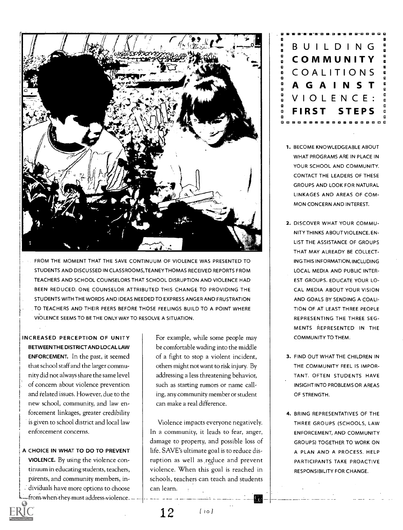

FROM THE MOMENT THAT THE SAVE CONTINUUM OF VIOLENCE WAS PRESENTED TO STUDENTS AND DISCUSSED IN CLASSROOMS,TEANEYTHOMAS RECEIVED REPORTS FROM TEACHERS AND SCHOOL COUNSELORS THAT SCHOOL DISRUPTION AND VIOLENCE HAD BEEN REDUCED. ONE COUNSELOR ATTRIBUTED THIS CHANGE TO PROVIDING THE STUDENTS WITH THE WORDS AND IDEAS NEEDED TO EXPRESS ANGER AND FRUSTRATION TO TEACHERS AND THEIR PEERS BEFORE THOSE FEELINGS BUILD TO A POINT WHERE VIOLENCE SEEMS TO BE THE ONLY WAY TO RESOLVE A SITUATION.

INCREASED PERCEPTION OF UNITY BETWEENTHEDISTRICTANDLOCALLAW ENFORCEMENT. In the past, it seemed that school staff and the larger community did not always share the same level of concern about violence prevention and related issues. However, due to the new school, community, and law enforcement linkages, greater credibility is given to school district and local law enforcement concerns.

A CHOICE IN WHAT TO DO TO PREVENT VIOLENCE. By using the violence continuum in educating students, teachers, parents, and community members, in-.' dividuals have more options to choose from-when-they-must address-violence. For example, while some people may be comfortable wading into the middle of a fight to stop a violent incident, others might not want to risk injury. By addressing a less threatening behavior, such as starting rumors or name calling, any community member or student can make a real difference.

Violence impacts everyone negatively. In a community, it leads to fear, anger, damage to property, and possible loss of life. SAVE's ultimate goal is to reduce disruption as well as ,rqduce and prevent violence. When this goal is reached in schools, teachers can teach and students can learn.



- 1. BECOME KNOWLEDGEABLE ABOUT WHAT PROGRAMS ARE IN PLACE IN YOUR SCHOOL AND COMMUNITY. CONTACT THE LEADERS OF THESE GROUPS AND LOOK FOR NATURAL LINKAGES AND AREAS OF COM-MON CONCERN AND INTEREST.
- 2. DISCOVER WHAT YOUR COMMU-NITY THINKS ABOUT VIOLENCE. EN-LIST THE ASSISTANCE OF GROUPS THAT MAY ALREADY BE COLLECT-ING THIS INFORMATION, INCLUDING LOCAL MEDIA AND PUBLIC INTER-EST GROUPS. EDUCATE YOUR LO-CAL MEDIA ABOUT YOUR VISION AND GOALS BY SENDING A COALI-TION OF AT LEAST THREE PEOPLE REPRESENTING THE THREE SEG-MENTS REPRESENTED IN THE COMMUNITY TO THEM.
- 3. FIND OUT WHAT THE CHILDREN IN THE COMMUNITY FEEL IS IMPOR-TANT. OFTEN STUDENTS HAVE INSIGHT INTO PROBLEMS OR AREAS OF STRENGTH.
- 4. BRING REPRESENTATIVES OF THE THREE GROUPS (SCHOOLS, LAW ENFORCEMENT, AND COMMUNITY GROUPS) TOGETHER TO WORK ON A PLAN AND A PROCESS. HELP PARTICIPANTS TAKE PROACTIVE RESPONSIBILITY FOR CHANGE.

 $12$  [10]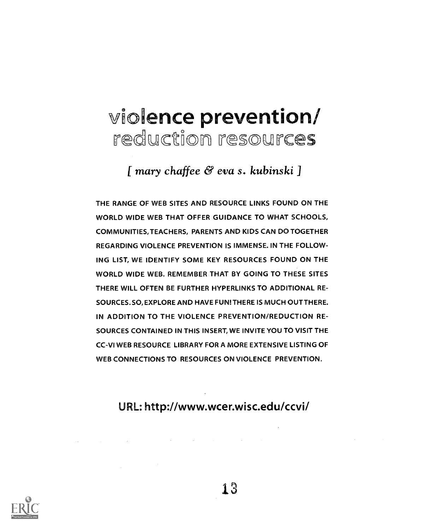# violence prevention/ reduction resources

[ mary chaffee & eva s. kubinski ]

THE RANGE OF WEB SITES AND RESOURCE LINKS FOUND ON THE WORLD WIDE WEB THAT OFFER GUIDANCE TO WHAT SCHOOLS, COMMUNITIES, TEACHERS, PARENTS AND KIDS CAN DO TOGETHER REGARDING VIOLENCE PREVENTION IS IMMENSE. IN THE FOLLOW-ING LIST, WE IDENTIFY SOME KEY RESOURCES FOUND ON THE WORLD WIDE WEB. REMEMBER THAT BY GOING TO THESE SITES THERE WILL OFTEN BE FURTHER HYPERLINKS TO ADDITIONAL RE-SOURCES.SO, EXPLORE AND HAVE FUN!THERE IS MUCH OUT THERE. IN ADDITION TO THE VIOLENCE PREVENTION/REDUCTION RE-SOURCES CONTAINED IN THIS INSERT, WE INVITE YOU TO VISIT THE CC-VI WEB RESOURCE LIBRARY FOR A MORE EXTENSIVE LISTING OF WEB CONNECTIONS TO RESOURCES ON VIOLENCE PREVENTION.

URL: http://www.wcenwisc.edu/ccvi/

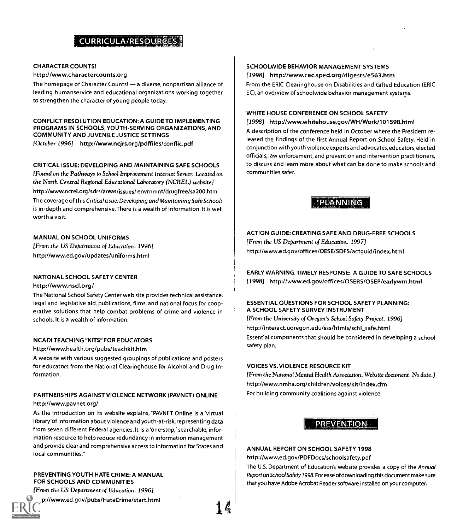#### CURRICULA/RESOURCES

#### CHARACTER COUNTS!

#### http://www.charactercounts.org

The homepage of Character Counts! - a diverse, nonpartisan alliance of leading humanservice and educational organizations working together to strengthen the character of young people today.

#### CONFLICT RESOLUTION EDUCATION: A GUIDE TO IMPLEMENTING PROGRAMS IN SCHOOLS, YOUTH-SERVING ORGANIZATIONS, AND COMMUNITY AND JUVENILE JUSTICE SETTINGS

[October 1996] http://www.ncjrs.org/pdffiles/conflic.pdf

#### CRITICAL ISSUE: DEVELOPING AND MAINTAINING SAFE SCHOOLS

[Found on the Pathways to School Improvement Internet Server. Located on the North Central Regional Educational Laboratory (NCREL) website] http://www.ncrel.org/sdrs/areas/issues/ enyrnmnt/drugfree/sa200.htm The coverage of this Critical Issue:Developing and Maintaining Safe Schools is in-depth and comprehensive.There is a wealth of information. It is well worth a visit.

#### MANUAL ON SCHOOL UNIFORMS

[From the US Department of Education. 1996] http://www.ed.gov/updates/uniforms.html

#### NATIONAL SCHOOL SAFETY CENTER

#### http://www.nscl.org/

The National School Safety Center web site provides technical assistance, legal and legislative aid, publications, films, and national focus for cooperative solutions that help combat problems of crime and violence in schools. It is a wealth of information.

#### NCADI TEACHING "KITS" FOR EDUCATORS

http://www.health.org/pubs/teachkit.htm

A website with various suggested groupings of publications and posters for educators from the National Clearinghouse for Alcohol and Drug Information.

#### PARTNERSHIPS AGAINST VIOLENCE NETWORK (PAVNET) ONLINE http://www.pavnet.org/

As the introduction on its website explains,"PAVNET Online is a 'virtual library'of information about violence and youth-at-risk, representing data from seven different Federal agencies. It is a 'one-stop,' searchable, information resource to help reduce redundancy in information management and provide clear and comprehensive access to information for States and local communities."

#### PREVENTING YOUTH HATE CRIME: A MANUAL FOR SCHOOLS AND COMMUNITIES

[From the US Department of Education. 1996]

p://www.ed.gov/pubs/HateCrime/start.html

#### SCHOOLWIDE BEHAVIOR MANAGEMENT SYSTEMS

[1998] http://www.cec.sped.org/digests/e563.htm From the ERIC Clearinghouse on Disabilities and Gifted Education (ERIC EC), an overview of schoolwide behavior management systems.

#### WHITE HOUSE CONFERENCE ON SCHOOL SAFETY [1998] http://www.whitehouse.gov/WH/Work/101598.html

A description of the conference held in October where the President released the findings of the first Annual Report on School Safety. Held in conjunction with youth violence experts and advocates, educators,elected officials, law enforcement, and prevention and intervention practitioners, to discuss and learn more about what can be done to make schools and communities safer.



ACTION GUIDE:CREATING SAFE AND DRUG-FREE SCHOOLS [From the US Department of Education. 1997] http://www.ed.gov/offices/OESE/SDFS/actguid/index.html

#### EARLY WARNING,TIMELY RESPONSE: A GUIDE TO SAFE SCHOOLS [1998] http://www.ed.gov/offices/OSERS/OSEP/earlywrn.html

#### ESSENTIAL QUESTIONS FOR SCHOOL SAFETY PLANNING: A SCHOOL SAFETY SURVEY INSTRUMENT

[From the University of Oregon's School Safety Project. 1996] http://interact.uoregon.edu/sss/htmIs/schl\_safe.htmI Essential components that should be considered in developing a school safety plan.

#### VOICES VS. VIOLENCE RESOURCE KIT

[From the National Mental Health Association. Website document. No date.] http://www.nmha.org/children/voices/kit/index.cfm For building community coalitions against violence.

#### **PREVENTION**

#### ANNUAL REPORT ON SCHOOL SAFETY 1998 http://www.ed.gov/PDFDocs/schoolsafety.pdf

The U.S. Department of Education's website provides a copy of the Annual Report on School Safety 1998. For ease of downloading this document make sure that you have Adobe Acrobat Reader software installed on your computer.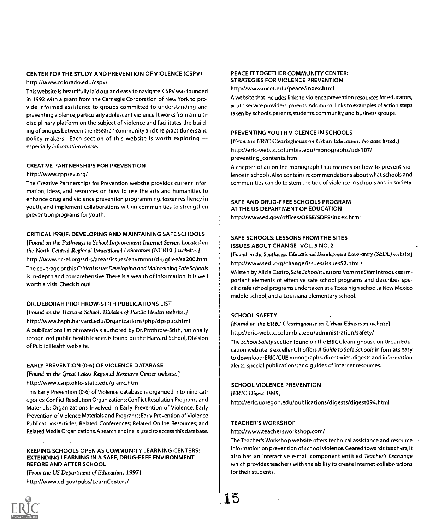#### CENTER FOR THE STUDY AND PREVENTION OF VIOLENCE (CSPV)

#### http://www.colorado.edu/cspv/

This website is beautifully laid out and easy to navigate.CSPV was founded in 1992 with a grant from the Carnegie Corporation of New York to provide informed assistance to groups committed to understanding and preventing violence, particularly adolescent violence.lt works from a multidisciplinary platform on the subject of violence and facilitates the building of bridges between the research community and the practitioners and policy makers. Each section of this website is worth exploring especially Information House.

#### CREATIVE PARTNERSHIPS FOR PREVENTION

#### http://www.cpprev.org/

The Creative Partnerships for Prevention website provides current information, ideas, and resources on how to use the arts and humanities to enhance drug and violence prevention programming, foster resiliency in youth, and implement collaborations within communities to strengthen prevention programs for youth.

#### CRITICAL ISSUE: DEVELOPING AND MAINTAINING SAFE SCHOOLS

[Found on the Pathways to School Improvement Internet Server. Located on the North Central Regional Educational Laboratory (NCREL) website.] http://www.ncrel.org/sdrs/areas/issues/envrnmnt/drugfree/sa200.htm The coverage of this Critical Issue:Developing and Maintaining Safe Schools is in-depth and comprehensive.There is a wealth of information. It is well worth a visit. Check it out!

#### DR. DEBORAH PROTHROW-STITH PUBLICATIONS LIST

[Found on the Harvard School, Division of Public Health website.] http://www.hsph.harvard.edu/Organizations/php/dpspub.html A publications list of materials authored by Dr. Prothrow-Stith, nationally recognized public health leader, is found on the Harvard School, Division of Public Health web site.

#### EARLY PREVENTION (0-6) OF VIOLENCE DATABASE

[Found on the Great Lakes Regional Resource Center website.] http://www.csnp.ohio-state.edu/glarrc.htm

This Early Prevention (0-6) of Violence database is organized into nine categories:Conflict Resolution Organizations;Conflict Resolution Programs and Materials; Organizations Involved in Early Prevention of Violence; Early Prevention of Violence Materials and Programs; Early Prevention of Violence Publications/Articles; Related Conferences; Related Online Resources; and Related Media Organizations.A search engine is used to access this database.

#### KEEPING SCHOOLS OPEN AS COMMUNITY LEARNING CENTERS: EXTENDING LEARNING IN A SAFE, DRUG-FREE ENVIRONMENT BEFORE AND AFTER SCHOOL

[From the US Department of Education. 1997] http://www.ed.gov/pubs/LearnCenters/

#### PEACE IT TOGETHER COMMUNITY CENTER: STRATEGIES FOR VIOLENCE PREVENTION

http://www.mcet.edu/peace/index.html

A website that includes links to violence prevention resources for educators, youth service providers, parents. Additional links to examples of action steps taken by schools, parents, students, community, and business groups.

#### PREVENTING YOUTH VIOLENCE IN SCHOOLS

[From the ERIC Clearinghouse on Urban Education. No date listed.] http://eric-web.tc.columbia.edu/monographs/uds107/ preventing\_contents.html

A chapter of an online monograph that focuses on how to prevent violence in schools. Also contains recommendations about what schools and communities can do to stem the tide of violence in schools and in society.

#### SAFE AND DRUG-FREE SCHOOLS PROGRAM AT THE US DEPARTMENT OF EDUCATION

http://www.ed.gov/offices/OESE/SDFS/index.html

#### SAFE SCHOOLS: LESSONS FROM THE SITES ISSUES ABOUT CHANGE -VOL. 5 NO. 2

[Found on the Southwest Educational Development Laboratory (SEDL) website] http://www.sedl.org/change/issues/issues52.html/

Written by Alicia Castro, Safe Schools:Lessons from the Sites introduces important elements of effective safe school programs and describes specific safe school programs undertaken at a Texas high school,a New Mexico middle school, and a Louisiana elementary school.

#### SCHOOL SAFETY

[Found on the ERIC Clearinghouse on Urban Education website] http://eric-web.tc.columbia.edu/administration/safety/

The School Safety section found on the ERIC Clearinghouse on Urban Education website is excellent. It offers A Guide to Safe Schools in formats easy to download; ERIC/CUE monographs, directories, digests and information alerts; special publications; and guides of internet resources.

#### SCHOOL VIOLENCE PREVENTION

[ERIC Digest 1995]

http://eric.uoregon.edu/publications/digests/digest094.html

#### TEACHER'S WORKSHOP

http://www.teachersworkshop.com/

The Teacher's Workshop website offers technical assistance and resource information on prevention of school violence. Geared towards teachers, it also has an interactive e-mail component entitled Teacher's Exchange which provides teachers with the ability to create internet collaborations for their students.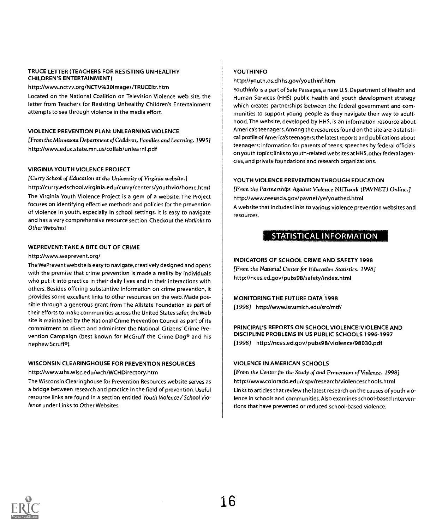#### TRUCE LETTER (TEACHERS FOR RESISTING UNHEALTHY CHILDREN'S ENTERTAINMENT)

http://www.nctvv.org/NCTV%20Images/TRUCEItr.htm

Located on the National Coalition on Television Violence web site, the letter from Teachers for Resisting Unhealthy Children's Entertainment attempts to see through violence in the media effort.

#### VIOLENCE PREVENTION PLAN: UNLEARNING VIOLENCE

[From the Minnesota Department of Children, Families and Learning. 1995] http://www.educ.state.mn.us/collab/unlearni.pdf

#### VIRGINIA YOUTH VIOLENCE PROJECT

[Curry School of Education at the University of Virginia website.] http://curry.edschool.virginia.edu/curry/centers/youthvio/home.html The Virginia Youth Violence Project is a gem of a website. The Project focuses on identifying effective methods and policies for the prevention of violence in youth, especially in school settings. It is easy to navigate and has a very comprehensive resource section.Checkout the Hotlinks to Other Websites!

#### WEPREVENT:TAKE A BITE OUT OF CRIME

#### http://www.weprevent.org/

The WePrevent website is easy to navigate, creatively designed and opens with the premise that crime prevention is made a reality by individuals who put it into practice in their daily lives and in their interactions with others. Besides offering substantive information on crime prevention, it provides some excellent links to other resources on the web. Made possible through a generous grant from The Allstate Foundation as part of their efforts to make communities across the United States safer, the Web site is maintained by the National Crime Prevention Council as part of its commitment to direct and administer the National Citizens' Crime Prevention Campaign (best known for McGruff the Crime Dog® and his nephew Scruff®).

#### WISCONSIN CLEARINGHOUSE FOR PREVENTION RESOURCES

http://www.uhs.wisc.edu/wch/WCHDirectory.htm

The Wisconsin Clearinghouse for Prevention Resources website serves as a bridge between research and practice in the field of prevention. Useful resource links are found in a section entitled Youth Violence / School Violence under Links to Other Websites.

#### YOUTHINFO

http://youth.os.dhhs.gov/youthinf.htm

Youthinfo is a part of Safe Passages, a new U.S. Department of Health and Human Services (HHS) public health and youth development strategy which creates partnerships between the federal government and communities to support young people as they navigate their way to adulthood. The website, developed by HHS, is an information resource about America's teenagers.Among the resources found on the site are:a statistical profile of America's teenagers;the latest reports and publications about teenagers; information for parents of teens; speeches by federal officials on youth topics; links to youth-related websites at HHS, other federal agencies, and private foundations and research organizations.

#### YOUTH VIOLENCE PREVENTION THROUGH EDUCATION

[From the Partnerships Against Violence NETwork (PAVNET) Online.] http://www.reeusda.gov/pavnet/ye/youthed.html A website that includes links to various violence prevention websites and resources.

#### STATISTICAL INFORMATION

INDICATORS OF SCHOOL CRIME AND SAFETY 1998 [From the National Center for Education Statistics. 1998] http://nces.ed.gov/pubs98/safety/index.html

#### MONITORING THE FUTURE DATA 1998

[1998] http://www.isr.umich.edu/src/mtf/

PRINCIPAL'S REPORTS ON SCHOOL VIOLENCE:VIOLENCE AND DISCIPLINE PROBLEMS IN US PUBLIC SCHOOLS 1996-1997 [1998] http://nces.ed.gov/pubs98/violence/98030.pdf

#### VIOLENCE IN AMERICAN SCHOOLS

[From the Center for the Study of and Prevention of Violence. 1998] http://www.colorado.edu/cspv/research/violenceschools.html Links to articles that review the latest research on the causes of youth violence in schools and communities. Also examines school-based interventions that have prevented or reduced school-based violence.

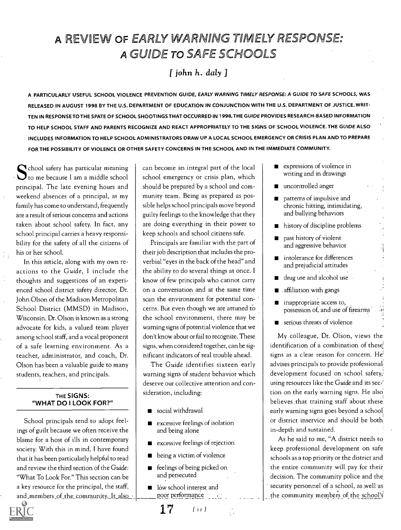### A REVIEW OF EARLY WARNING TIMELY RESPONSE: A GUIDE TO SAFE SCHOOLS

#### [ john h. daly ]

A PARTICULARLY USEFUL SCHOOL VIOLENCE PREVENTION GUIDE, EARLY WARNING TIMELY RESPONSE: A GUIDE TO SAFE SCHOOLS, WAS RELEASED IN AUGUST 1998 BY THE U.S. DEPARTMENT OF EDUCATION IN CONJUNCTION WITH THE U.S. DEPARTMENT OF JUSTICE. WRIT-TEN IN RESPONSE TOTHE SPATE OF SCHOOL SHOOTINGS THAT OCCURRED IN 1998,THE GUIDE PROVIDES RESEARCH-BASED INFORMATION TO HELP SCHOOL STAFF AND PARENTS RECOGNIZE AND REACT APPROPRIATELY TO THE SIGNS OF SCHOOL VIOLENCE. THE GUIDE ALSO INCLUDES INFORMATION TO HELP SCHOOL ADMINISTRATORS DRAW UP A LOCAL SCHOOL EMERGENCY OR CRISIS PLAN AND TO PREPARE FOR THE POSSIBILITY OF VIOLENCE OR OTHER SAFETY CONCERNS IN THE SCHOOL AND IN THE IMMEDIATE COMMUNITY.

 $\bigcap$  chool safety has particular meaning  $\mathbf J$  to me because I am a middle school principal. The late evening hours and weekend absences of a principal, as my family has come to understand, frequently are a result of serious concerns and actions taken about school safety. In fact, any school principal carries a heavy responsibility for the safety of all the citizens of his or her school.

In this article, along with my own reactions to the Guide, I include the thoughts and suggestions of an experienced school district safety director, Dr. John Olson of the Madison Metropolitan School District (MMSD) in Madison, Wisconsin. Dr. Olson is known as a strong advocate for kids, a valued team player among school staff, and a vocal proponent of a safe learning environment. As a teacher, administrator, and coach, Dr. Olson has been a valuable guide to many students, teachers, and principals.

#### THE SIGNS: "WHAT DO I LOOK FOR?"

School principals tend to adopt feelings of guilt because we often receive the blame for a host of ills in contemporary society. With this in mind, I have found that it has been particularly helpful to read and review the third section of the Guide: "What To Look For." This section can be a key resource for the principal, the staff, and\_members\_of\_the\_community. It also can become an integral part of the local school emergency or crisis plan, which should be prepared by a school and community team. Being as prepared as possible helps school principals move beyond guilty feelings to the knowledge that they are doing everything in their power to keep schools and school citizens safe.

Principals are familiar with the part of their job description that includes the proverbial "eyes in the back of the head" and the ability to do several things at once.. I know of few principals who cannot carry on a conversation and at the same time scan the environment for potential concerns. But even though we are attuned to the school environment, there may be warning signs of potential violence that we don't know about or fail to recognize. These signs, when considered together, can be significant indicators of real trouble ahead.

The Guide identifies sixteen early warning signs of student behavior which deserve our collective attention and consideration, including:

- social withdrawal
- excessive feelings of isolation and being alone
- excessive feelings of rejection
- being a victim of violence
- feelings of being picked on and persecuted
- low school interest and poor performance
- expressions of violence in writing and in drawings
- uncontrolled anger
- patterns of impulsive and chronic hitting, intimidating, and bullying behaviors
- history of discipline problems
- past history of violent and aggressive behavior
- intolerance for differences and prejudicial attitudes
- drug use and alcohol use
- \_ affiliation with gangs
- inappropriate access to, possession of, and use of firearms
- serious threats of violence

My colleague, Dr. Olson, views the identification of a combination of these signs as a clear reason for concern. He advises principals to provide professional: development focused on school safety, using resources like the Guide and its sec-' tion on the early warning signs. He also: believes that training staff about these early warning signs goes beyond a school: or district inservice and should be both in-depth and sustained.

As he said to me, "A district needs to keep professional development on safe schools as a top priority or the district and the entire community will pay for their decision. The community police and the security personnel of a school, as well as the community members of the school's



 $17 111$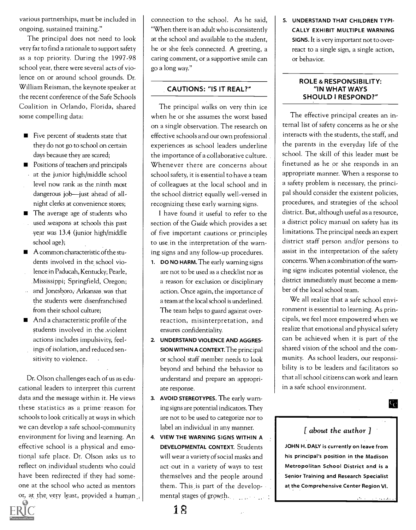various partnerships, must be included in ongoing, sustained training."

The principal does not need to look very far to find a rationale to support safety as a top priority. During the 1997-98 school year, there were several acts of violence on or around school grounds. Dr. William Reisman, the keynote speaker at the recent conference of the Safe Schools Coalition in Orlando, Florida, shared some compelling data:

- Five percent of students state that they do not go to school on certain days because they are scared;
- Positions of teachers and principals at the junior high/middle school
- level now rank as the ninth most dangerous job-just ahead of allnight clerks at convenience stores;
- The average age of students who used weapons at schools this past year was 13.4 (junior high/middle school age);
- $\blacksquare$  A common characteristic of the students involved in the school violence in Paducah, Kentucky; Pearle, .Mississippi; Springfield, Oregon;
- and Jonesboro, Arkansas was that the students were disenfranchised from their school culture;
- And a characteristic profile of the students involved in the .violent actions includes impulsivity, feelings of isolation, and reduced sensitivity to violence.

Dr. Olson challenges each of us as educational leaders to interpret this current data and the message within it. He views these statistics as a prime reason for schools to look critically at ways in which we can develop a safe school-community environment for living and learning. An effective school is a physical and emotional safe place. Dr. Olson asks us to reflect on individual students who could have been redirected if they had someone at the school who acted as mentors or, at the, yery least, provided a human connection to the school. As he said, "When there is an adult who is consistently at the school and available to the student, he or she feels connected. A greeting, a caring comment, or a supportive smile can go a long way."

#### CAUTIONS: "IS IT REAL?"

The principal walks on very thin ice when he or she assumes the worst based on a single observation. The research on effective schools and our own professional experiences as school leaders underline the importance of a collaborative culture. Whenever there are concerns about school safety, it is essential to have a team of colleagues at the local school and in the school district equally well-versed in recognizing these early warning signs.

I have found it useful to refer to the section of the Guide which provides a set of five important cautions or principles to use in the interpretation of the warning signs and any follow-up procedures.

- 1. DO NO HARM. The early warning signs are not to be used as a checklist nor as a reason for exclusion or disciplinary action. Once again, the importance of a team at the local school is underlined. The team helps to guard against overreaction, misinterpretation, and ensures confidentiality.
- 2. UNDERSTAND VIOLENCE AND AGGRES-SION WITHIN A CONTEXT. The principal or school staff member needs to look beyond and behind the behavior to understand and prepare an appropriate response.
- 3. AVOID STEREOTYPES. The early warning signs are potential indicators. They are not to be used to categorize nor to label an individual in any manner.
- 4. VIEW THE WARNING SIGNS WITHIN A DEVELOPMENTAL CONTEXT. Students will wear a variety of social masks and act -out in a variety of ways to test themselves and the people around them. This.is part of the developmental stages of growth..

5. UNDERSTAND THAT CHILDREN TYPI-CALLY EXHIBIT MULTIPLE WARNING SIGNS. It is very important not to overreact to a single sign, a single action, or behavior.

#### ROLE & RESPONSIBILITY: "IN WHAT WAYS SHOULD I RESPOND?"

The effective principal creates an internal list of safety concerns as he or she interacts with the students, the staff, and the parents in the everyday life of the school. The skill of this leader must be finetuned as he or she responds in an appropriate manner. When a response to a safety problem is necessary, the principal should consider the existent policies, procedures, and strategies of the school district. But, although useful as a resource, a district policy manual on safety has its limitations. The principal needs an expert district staff person and/or persons to assist in the interpretation of the safety concerns. When a combination of the warning signs indicates potential violence, the district immediately must become a member of the local school team.

We all realize that a safe school environment is essential to learning. As principals, we feel more empowered when we realize that emotional and physical safety can be achieved when it is part of the shared vision of the school and the community. As school leaders, our responsibility is to be leaders and facilitators so that all school citizens can work and learn in a safe school environment.

 $C_{C}$ 

#### [ about the author ]

JOHN H. DALY is currently on leave from his principal's position in the Madison Metropolitan School District and is a Senior Training and Research Specialist at the Comprehensive Center Region VI.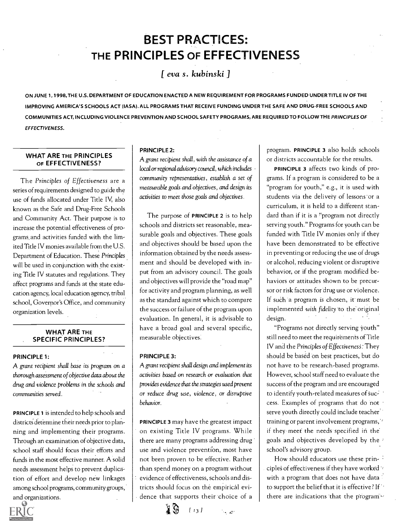# BEST PRACTICES: THE PRINCIPLES OF EFFECTIVENESS

#### [ eva s. kubinski

ON JUNE 1,1998,THE U.S. DEPARTMENT OF EDUCATION ENACTED A NEW REQUIREMENT FOR PROGRAMS FUNDED UNDER TITLE IV OF THE IMPROVING AMERICA'S SCHOOLS ACT (IASA). ALL PROGRAMS THAT RECEIVE FUNDING UNDER THE SAFE AND DRUG-FREE SCHOOLS AND COMMUNITIES ACT, INCLUDING VIOLENCE PREVENTION AND SCHOOL SAFETY PROGRAMS, ARE REQUIREDTO FOLLOW THE PRINCIPLES OF EFFECTIVENESS.

#### WHAT ARE THE PRINCIPLES OF EFFECTIVENESS?

The Principles of Effectiveness are a series of requirements designed to guide the use of funds allocated under Title IV, also known as the Safe and Drug-Free Schools and Community Act. Their purpose is to increase the potential effectiveness of programs. and activities funded with the limited Title IV monies available from the U.S. Department of Education. These Principles will be used in conjunction with the existing Title IV statutes and regulations. They affect programs and funds at the state education agency, local education agency, tribal school, Governor's Office, and community organization levels.

#### WHAT ARE THE SPECIFIC PRINCIPLES?

#### PRINCIPLE 1:

A grant recipient shall base its program on a thorough assessment of objective data about the drug and violence problems in the schools and communities served.

PRINCIPLE 1 is intended to help schools and districts determine their needs prior to planning and implementing their programs. Through an examination of objective data, school staff should focus their efforts and funds in the most effective manner. A solid needs assessment helps to prevent duplication of effort and develop new linkages among school programs, community groups, and organizations.

#### PRINCIPLE 2:

A grant recipient shall, with the assistance of a local or regional advisory council, which includes community representatives, establish a set of measurable goals and objectives, and design its activities to meet those goals and objectives.

The purpose of **PRINCIPLE 2** is to help schools and districts set reasonable, measurable goals and objectives. These goals and objectives should be based upon the information obtained by the needs assessment and should be developed with input from an advisory council. The goals and objectives will provide the "road map" for activity and program planning, as well as the standard against which to compare the success or failure of the program upon evaluation. In general, it is advisable to have a broad goal and several specific, measurable objectives.

#### PRINCIPLE 3:

A grant recipient shall design and implement its activities based on research or evaluation that provides evidence that the strategies used prevent or reduce drug use, violence, or disruptive behavior.

PRINCIPLE 3 may have the greatest impact on existing Title IV programs. While there are many programs addressing drug use and violence prevention, most have not been proven to be effective. Rather than spend money on a program without evidence of effectiveness, schools and districts should focus on the empirical evidence that supports their 'choice of a

ΊÓ



program. PRINCIPLE 3 also holds schools or districts accountable for the results.

PRINCIPLE 3 affects two kinds of programs. If a program is considered to be a "program for youth," e.g., it is used with students via the delivery of lessons or a curriculum, it is held to a different standard than if it is a "program not directly serving youth." Programs for youth can be funded with Title IV monies only if they have been demonstrated to be effective in preventing or reducing the use of drugs or alcohol, reducing violent or disruptive behavior, or if the program modified behaviors or attitudes shown to be precursor or risk factors for drug use or violence. If such a program is chosen, it must be implemented with fidelity to the original  $\mathcal{L}$ design.

"Programs not directly serving youth" still need to meet the requirements of Title IV and the Principles of Effectiveness: They should be based on best practices, but do not have to be research-based programs. However, school staff need to evaluate the success of the program and are encouraged to identify youth-related measures of success. Examples of programs that do not serve youth directly could include teacher' training or parent involvement programs, if they meet the needs specified in the goals and objectives developed by the school's advisory group.

How should educators use these principle§ of effectiveness if they have worked with a program that does not have data to support the belief that it is effective? If there are indications that the program<sup>11</sup>



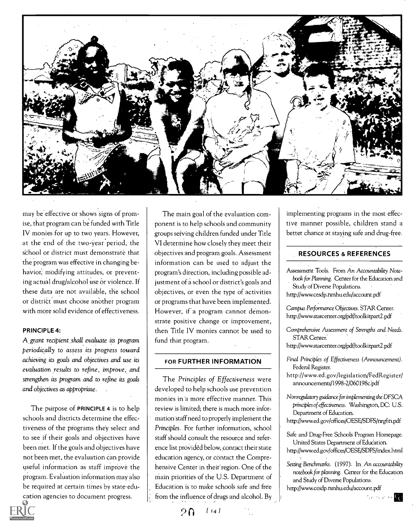

may be effective or shows signs of promise, that program can be funded with Title IV monies for up to two years. However, at the end of the two-year period, the school or district must demonstrate that the program was effective in changing behavior, modifying attitudes, or preventing actual drug/alcohol use or violence. If these data are not available, the school or district must choose another program with more solid evidence of effectiveness.

#### PRINCIPLE 4:

A\_grant recipient.shall evaluate its program periodically to assess its progress toward achieving its goals and objectives and use its evaluation results to refine, improve, and strengthen its program and to refine its goals and objectives as appropriate. .

The purpose of PRINCIPLE 4 is to help schools and districts determine the effectiveness of the programs they select and to see if their goals and objectives have been met. If the goals and objectives have not been met, the evaluation can provide useful information as staff improve the program. Evaluation information may also be required at certain times by state education agencies to document progress.

The main goal of the evaluation component is to help schools and community groups serving children funded under Title VI determine how closely they meet their objectives and program goals. Assessment information can be used to adjust the program's direction, including possible adjustment of a school or district's goals and objectives, or even the type of activities or programs that have been implemented. However, if a program cannot demonstrate positive change or improvement, then Title IV monies cannot be used to fund that program.

#### FOR FURTHER INFORMATION

The Principles of Effectiveness were developed to help schools use prevention monies in a more effective manner. This review is limited; there is much more information staff need to properly implement the Principles. For further information, school staff should consult the resource and reference list proVided below, contact their state education agency, or contact the Comprehensive Center in their region. One of the main priorities of the U.S. Department of Education is to make schools safe and free from the influence of drugs and alcohol. By | implementing programs in the most effective manner possible, children stand a better chance at staying safe and drug-free.

#### RESOURCES & REFERENCES

Assessment Tools. From An Accountability Notebook for Planning. Center for the Education and Study of Diverse Populations. http://www.cesdp.nmhu.edu/account.pdf

Campus Performance Objectives. STAR Center. http://www.starcenter.org/pdf/toolkitpart2.pdf

- Comprehensive Assessment of Strengths and Needs. STAR Center:
- http://www.starcenter.org/pdf/toolkitpart2.pdf
- Final Principles of Effectiveness (Announcement). Federal Register.
- http://www.ed.gov/legislation/FedRegister/ announcements/1998-2/060198c.pdf
- Nonregulatory guidance:for implementing the DFSCA principles of effectiveness. Washington, DC: U.S. Department of Education.
- http://www.ed.gov/offices/OESE/SDFS/nrgfin.pdf
- Safe and Drug-Free Schools Program Homepage. United States Department of Education. http://www.ed.gov/offices/OESE/SDFS/index.html
- Setting Benchmarks. (1997). In An accountability notebook for planning. Center for the Education and Study df Diverse Populations. http://www.cesdp.nmhu.edu/account.pdf

2Λ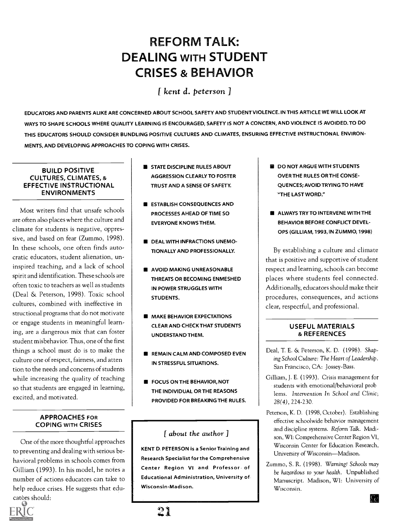# REFORM TALK: DEALING WITH STUDENT CRISES & BEHAVIOR

[ kent d. peterson ]

EDUCATORS AND PARENTS ALIKE ARE CONCERNED ABOUT SCHOOL SAFETY AND STUDENT VIOLENCE. IN THIS ARTICLE WE WILL LOOK AT WAYS TO SHAPE SCHOOLS WHERE QUALITY LEARNING IS ENCOURAGED, SAFETY IS NOT A CONCERN, AND VIOLENCE IS AVOIDED.TO DO THIS EDUCATORS SHOULD CONSIDER BUNDLING POSITIVE CULTURES AND CLIMATES, ENSURING EFFECTIVE INSTRUCTIONAL ENVIRON-MENTS, AND DEVELOPING APPROACHES TO COPING WITH CRISES.

#### BUILD POSITIVE CULTURES, CLIMATES, & EFFECTIVE INSTRUCTIONAL ENVIRONMENTS

Most writers find that unsafe schools are often also places where the culture and climate for students is negative, oppressive, and based on fear (Zummo, 1998). In these schools, one often finds autocratic educators, student alienation, uninspired teaching, and a lack of school spirit and identification. These schools are often toxic to teachers as well as students (Deal & Peterson, 1998). Toxic school cultures, combined with ineffective in structional programs that do not motivate or engage students in meaningful learning, are a dangerous mix that can foster student misbehavior. Thus, one of the first things a school must do is to make the culture one of respect, fairness, and atten tion to the needs and concerns of students while increasing the quality of teaching so that students are engaged in learning, excited, and motivated.

#### APPROACHES FOR **COPING WITH CRISES**

One of the more thoughtful approaches to preventing and dealing with serious behavioral problems in schools comes from Gilliam (1993). In his model, he nofes a number of actions educators can take to help reduce crises. He suggests that educators should:

- **STATE DISCIPLINE RULES ABOUT** AGGRESSION CLEARLY TO FOSTER TRUST AND A SENSE OF SAFETY.
- **ESTABLISH CONSEQUENCES AND** PROCESSES AHEAD OF TIME SO EVERYONE KNOWS THEM.
- **DEAL WITH INFRACTIONS UNEMO-**TIONALLY AND PROFESSIONALLY.
- **AVOID MAKING UNREASONABLE** THREATS OR BECOMING ENMESHED IN POWER STRUGGLES WITH STUDENTS.
- **M** MAKE BEHAVIOR EXPECTATIONS CLEAR AND CHECKTHAT STUDENTS UNDERSTAND THEM.
- **REMAIN CALM AND COMPOSED EVEN** IN STRESSFUL SITUATIONS.
- **FOCUS ON THE BEHAVIOR, NOT** THE INDIVIDUAL OR THE REASONS PROVIDED FOR BREAKING THE RULES.

#### [ about the author ]

KENT D. PETERSON is a Senior Training and Research Specialist for the Comprehensive Center Region VI and Professor of Educational Administration, University of Wisconsin-Madison.

- **DO NOT ARGUE WITH STUDENTS** OVER THE RULES OR THE CONSE-QUENCES; AVOID TRYING TO HAVE "THE LAST WORD."
- **ALWAYS TRY TO INTERVENE WITH THE** BEHAVIOR BEFORE CONFLICT DEVEL-OPS (GILLIAM, 1993, IN ZUMMO, 1998)

By establishing a culture and climate that is positive and supportive of student respect and learning, schools can become places where students feel connected. Additionally, educators should make their procedures, consequences, and actions clear, respectful, and professional.

#### USEFUL MATERIALS & REFERENCES

- Deal, T. E. & Peterson, K. D. (1998). Shaping School Culture: The Heart of Leadership. San Francisco, CA: Jossey-Bass.
- Gilliam, J. E. (1993). Crisis management for students with emotional/behavioral prob lems. Intervention In School and Clinic; 28(4), 224-230.
- Peterson, K. D. (1998, October). Establishing effective schoolwide behavior management and discipline systems. Reform Talk. Madison, WI: Comprehensive Center Region VI, Wisconsin Center for Education Research, University of Wisconsin-Madison.
- Zummo, S. R. (1998). Warning! Schools may be hazardous to your health. Unpublished Manuscript. Madison, WI: University of Wisconsin.

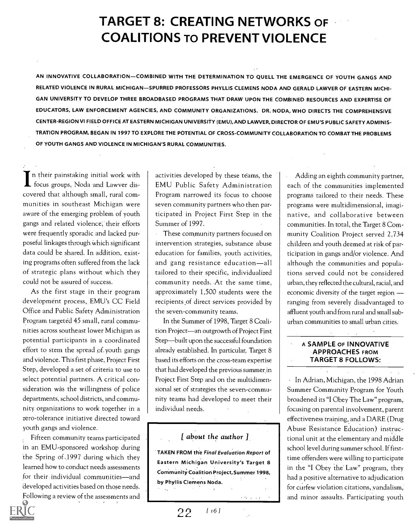# TARGET 8: CREATING NETWORKS OF COALITIONS To PREVENT VIOLENCE

AN INNOVATIVE COLLABORATION-COMBINED WITH THE DETERMINATION TO QUELL THE EMERGENCE OF YOUTH GANGS AND RELATED VIOLENCE IN RURAL MICHIGAN-SPURRED PROFESSORS PHYLLIS CLEMENS NODA AND GERALD LAWVER OF EASTERN MICHI-GAN UNIVERSITY TO DEVELOP THREE BROADBASED PROGRAMS THAT DRAW UPON THE COMBINED RESOURCES AND EXPERTISE OF EDUCATORS, LAW ENFORCEMENT AGENCIES, AND COMMUNITY ORGANIZATIONS. DR. NODA, WHO DIRECTS THE COMPREHENSIVE CENTER-REGION VI FIELD OFFICE AT EASTERN MICHIGAN UNIVERSITY (EMU), AND LAWVER, DIRECTOR OF EMU'S PUBLIC SAFETY ADMINIS-TRATION PROGRAM, BEGAN IN 1997 TO EXPLORE THE POTENTIAL OF CROSS-COMMUNITY COLLABORATION TO COMBAT THE PROBLEMS OF YOUTH GANGS AND VIOLENCE IN MICHIGAN'S RURAL COMMUNITIES.

In their painstaking initial work with  $\blacktriangle$  focus groups, Noda and Lawver discovered that although small, rural communities in southeast Michigan were aware of the emerging problem of youth gangs and related violence; their efforts were frequently sporadic and lacked purposeful linkages through Which significant data could be shared. In addition, existing programs often suffered from the lack of strategic .plans without which they could not be assured of success.

As the first stage in their program development process, EMU's CC Field Office and Public Safety Administration Program targeted 45 small, rural communities across southeast lower Michigan as potential participants in a coordinated effort to stem the spread of youth gangs and violence. This first phase, Project First Step, developed a set of criteria to use to select potential partners. A critical consideration was the willingness of police departments, school districts, and community organizations to work together in a zero-tolerance initiative directed toward youth gangs and violence.

Fifteen community teams participated in an EMU-sponsored workshop during the Spring of 1997 during which they learned how to conduct needs assessments for their individual communities-and developed activities based on those needs. Following a review of the assessments and

activities developed by these teams, the EMU Public Safety Administration Program narrowed its focus to choose seven community partners who then participated in Project First Step in the Summer of 1997.

These community partners focused on intervention strategies, substance abuse education for families, youth activities, and gang resistance education-all tailored to their specific, individualized community needs. At the same time, approximately 1,500 students were the recipients of direct services provided by the seven-community teams.

In the Summer of 1998, Target 8 Coalition Project—an outgrowth of Project First Step-built upon the successful foundation already established. In particular, Target 8 based its efforts on the cross-team expertise that had developed the previous summer in Project First Step and on the multidimensional set of strategies the seven-community teams had developed to meet their individual needs.

#### [ about the author ]

TAKEN FROM the Final Evaluation Report of Eastern Michigan University's Target 8 Community Coalition Project, Summer 1998, by Phyllis Clemens Noda.

 $\epsilon$  ,  $\epsilon$ 

Adding an eighth community partner, each of the communities implemented programs tailored to their needs. These programs were multidimensional, imaginative, and collaborative between communities. In total, the Target 8 Community Coalition Project served 2,734 children and youth deemed at risk of participation in gangs and/or violence. And although the communities and populations served could not be considered urban, they reflected the cultural, racial, and economic diversity of the target region ranging from severely disadvantaged to affluent youth and from rural and small suburban communities to small urban cities.

#### A SAMPLE OF INNOVATIVE APPROACHES FROM TARGET 8 FOLLOWS:

In Adrian, Michigan, the 1998 Adrian Summer Community Program for Youth broadened its "I Obey The Law" program, focusing on parental involvement, parent effectiveness training, and a DARE (Drug Abuse Resistance Education) instructional unit at the elementary and middle school level during summer school. If firsttime offenders were willing to participate in the "I Obey the Law" program, they had a positive alternative to adjudication for curfew violation citations, yandalism, and minor assaults. Participating youth

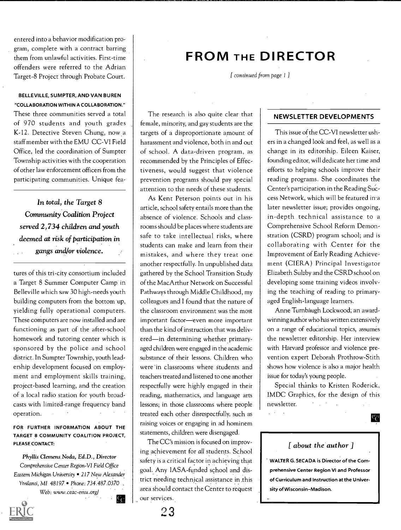entered into a behavior modification program, complete with a contract barring them from unlawful activities. First-time offenders were referred to the Adrian Target-8 Project through Probate Court.

#### BELLEVILLE, SUMPTER, AND VAN BUREN "COLLABORATION WITHIN A COLLABORATION."

These three communities served a total of 970 students and youth grades K-12. Detective Steven Chung, now a staff member with the EMU CC-VI Field Office, led the coordination of Sumpter Township activities with the cooperation of other law enforcement officers from the participating communities. Unique fea-

In total, the Target 8 Community Coalition Project served 2,734 children and youth deemed at risk of participation in gangs and/or violence.

tures of this tri-city consortium included a Target 8 Summer Computer Camp in Belleville which saw 30 high-needs youth building computers from the bottom up, yielding fully operational computers. These computers are now installed and are functioning as part of the after-school homework and tutoring center which is sponsored by the police and school district. In Sumpter Township, youth leadership development focused on employment and employment skills training, project-based learning, and the creafion of a local radio station for youth broadcasts with limited-range frequency band operation.

#### FOR FURTHER INFORMATION ABOUT THE TARGET 8 COMMUNITY COALITION PROJECT, PLEASE CONTACT:

Phyllis Clernens.Noda, Ed.D., Director Comprehensive Center Region-VI Field Office Eastern Michigan University 217 New Alexander Ynsilanti, MI 48197 · Phone: 734.487.0370 Web: www.ceac-emu.orgl  $C_{\rm C}$ 

# FROM THE DIRECTOR

[ continued from page 1 ]

The research is also quite clear that female, minority, and gay students are the targets of a disproportionate amount of harassment and violence, both in and out of school. A data-driven program, as recommended by the Principles of Effectiveness, would suggest that violence prevention programs should pay special attention to the needs of these students.

As Kent Peterson points out in his article, school safety entails more than the absence of violence. Schools and classrooms should be places where students are safe to take intellectual risks, where students can make and learn from their mistakes, and where they treat one another respectfully. In unpublished data gathered by the School Transition Study of the MacArthur Network on Successful Pathways through Middle Childhood, my colleagues and I found that the nature of the classroom environment was the most important factor-even more important than the kind of instruction that was delivered-in determining whether primaryaged children were engaged in the academic substance of their lessons. Children who were in classrooms where students and teachers treated and listened to one another respectfully were highly engaged in their reading, mathematics, and language arts lessons; in those classrooms where people treated each other disrespectfully, such as raising voices or engaging in ad hominem statements, children were disengaged.

The CC's mission is focused on improving achievement for all students. School safety is a critical factor in achieving that goal. Any IASA-funded school and district needing technical assistance in .this area should contact the Center to request our services.

#### NEWSLETTER DEVELOPMENTS

This issue of the CC-VI newsletter ushers in a changed look and feel, as well as a change in its editorship. Eileen Kaiser, founding editor, will dedicate her time and efforts to helping schools improve their reading programs. She coordinates the Center's participation in the Reading Success Network, which will be featured in-a later newsletter issue; provides ongoing, in-depth technical assistance to a Comprehensive School Reform Demonstration (CSRD) program school; and is collaborating with Center for the Improvement of Early Reading Achievement (C1ERA) Principal Investigator Elizabeth Sulzby and the CSRD school on developing some training videos involving the teaching of reading to primaryaged English-language learners.

Anne Turnbaugh Lockwood; an awardwinning author who has written extensively on a range of educational topics, assumes the newsletter editorship. Her interview with Harvard professor and violence prevention expert Deborah Prothrow-Stith shows how violence is also a major health issue for today's young people.

Special thanks to Kristen Roderick, IMDC Graphics, for the design of this newsletter.



#### I- about the author ]

WALTER G. SECADA is Director of the Comprehensive Center Region VI and Professor of Curriculum and Instruction at the University of Wisconsin-Madison.

.

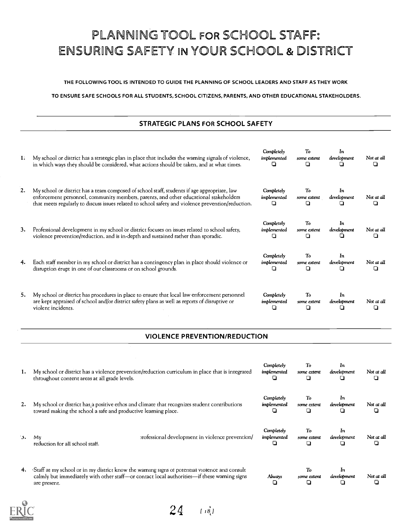# PLANNING TOOL FOR SCHOOL STAFF: ENSURING SAFETY IN YOUR SCHOOL & DISTRICT

#### THE FOLLOWING TOOL IS INTENDED TO GUIDE THE PLANNING OF SCHOOL LEADERS AND STAFF AS THEY WORK

#### TO ENSURE SAFE SCHOOLS FOR ALL STUDENTS, SCHOOL CITIZENS, PARENTS, AND OTHER EDUCATIONAL STAKEHOLDERS.

#### STRATEGIC PLANS FOR SCHOOL SAFETY

| 1.      | My school or district has a strategic plan in place that includes the warning signals of violence,<br>in which ways they should be considered, what actions should be taken, and at what times.                                                                                            | Completely<br>implemented<br>u | To<br>some extent<br>□  | In<br>development         | Not at all<br>O |
|---------|--------------------------------------------------------------------------------------------------------------------------------------------------------------------------------------------------------------------------------------------------------------------------------------------|--------------------------------|-------------------------|---------------------------|-----------------|
| $\cdot$ | My school or district has a team composed of school staff, students if age appropriate, law<br>enforcement personnel, community members, parents, and other educational stakeholders<br>that meets regularly to discuss issues related to school safety and violence prevention/reduction. | Completely<br>implemented<br>Q | Ъ<br>some extent<br>◘   | In.<br>development        | Not at all<br>п |
| 3.      | Professional development in my school or district focuses on issues related to school safety,<br>violence prevention/reduction, and is in-depth and sustained rather than sporadic.                                                                                                        | Completely<br>implemented<br>❏ | To<br>some extent<br>❏  | In<br>development<br>□    | Not at all      |
| 4.      | Each staff member in my school or district has a contingency plan in place should violence or<br>disruption erupt in one of our classrooms or on school grounds.                                                                                                                           | Completely<br>implemented<br>o | To.<br>some extent<br>ப | In.<br>development<br>. . | Not at all<br>◘ |
| 5.      | My school or district has procedures in place to ensure that local law enforcement personnel<br>are kept appraised of school and/or district safety plans as well as reports of disruptive or<br>violent incidents.                                                                        | Completely<br>implemented<br>ப | To<br>some extent       | In<br>development         | Not at all<br>◻ |

#### VIOLENCE PREVENTION/REDUCTION

| 1.           | My school or district has a violence prevention/reduction curriculum in place that is integrated<br>throughout content areas at all grade levels.                                                            | Completely<br>implemented      | To<br>some extent      | In.<br>development     | Not at all |
|--------------|--------------------------------------------------------------------------------------------------------------------------------------------------------------------------------------------------------------|--------------------------------|------------------------|------------------------|------------|
| $\mathbf{2}$ | My school or district has a positive ethos and climate that recognizes student contributions<br>toward making the school a safe and productive learning place.                                               | Completely<br>implemented<br>u | Tо<br>some extent<br>◻ | In<br>development<br>□ | Not at all |
| ٠,           | orofessional development in violence prevention<br>Mv<br>reduction for all school staff.                                                                                                                     | Completely<br>implemented<br>О | To<br>some extent      | In<br>development      | Not at all |
| 4.           | Staff at my school or in my district know the warning signs of potential violence and consult<br>calmly but immediately with other staff—or contact local authorities—if these warning signs<br>are present. | Always                         | Тo<br>some extent      | In<br>development      | Not at all |

 $\begin{pmatrix} 1 & 8 \\ 1 & 8 \end{pmatrix}$ 

 $24$ 

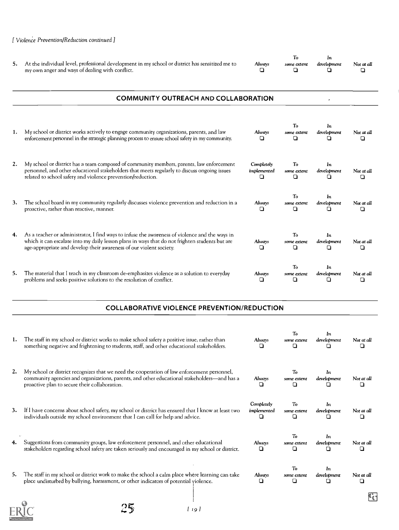| 5. | At the individual level, professional development in my school or district has sensitized me to<br>my own anger and ways of dealing with conflict.                                                                                                                      | Always<br>◻                         | To<br>some extent<br>◻             | In<br>development<br>П  | Not at all<br>◻ |
|----|-------------------------------------------------------------------------------------------------------------------------------------------------------------------------------------------------------------------------------------------------------------------------|-------------------------------------|------------------------------------|-------------------------|-----------------|
|    | <b>COMMUNITY OUTREACH AND COLLABORATION</b>                                                                                                                                                                                                                             |                                     |                                    | $\lambda$               |                 |
| 1. | My school or district works actively to engage community organizations, parents, and law<br>enforcement personnel in the strategic planning process to ensure school safety in my community.                                                                            | Always<br>❏                         | To<br>some extent<br>❏             | In<br>development<br>◻  | Not at all<br>◘ |
| 2. | My school or district has a team composed of community members, parents, law enforcement<br>personnel, and other educational stakeholders that meets regularly to discuss ongoing issues<br>related to school safety and violence prevention/reduction.                 | Completely<br>implemented<br>$\Box$ | To<br>some extent<br>О             | In<br>development<br>❏  | Not at all<br>❏ |
| 3. | The school board in my community regularly discusses violence prevention and reduction in a<br>proactive, rather than reactive, manner.                                                                                                                                 | Always<br>Q                         | T <sub>o</sub><br>some extent<br>◻ | In.<br>development<br>О | Not at all<br>◻ |
| 4. | As a teacher or administrator, I find ways to infuse the awareness of violence and the ways in<br>which it can escalate into my daily lesson plans in ways that do not frighten students but are<br>age-appropriate and develop their awareness of our violent society. | Always<br>❏                         | T <sub>0</sub><br>some extent<br>◻ | In<br>development<br>◻  | Not at all<br>❏ |
| 5. | The material that I teach in my classroom de-emphasizes violence as a solution to everyday<br>problems and seeks positive solutions to the resolution of conflict.                                                                                                      | Always<br>❏                         | T <sub>0</sub><br>some extent<br>◘ | In<br>development<br>❏  | Not at all<br>❏ |

#### COLLABORATIVE VIOLENCE PREVENTION/REDUCTION

| 1. | The staff in my school or district works to make school safety a positive issue, rather than<br>something negative and frightening to students, staff, and other educational stakeholders.                                                  | Always<br>ப                    | T <sub>0</sub><br>some extent<br>◘ | In<br>development<br>□  | Not at all      |
|----|---------------------------------------------------------------------------------------------------------------------------------------------------------------------------------------------------------------------------------------------|--------------------------------|------------------------------------|-------------------------|-----------------|
| 2. | My school or district recognizes that we need the cooperation of law enforcement personnel,<br>community agencies and organizations, parents, and other educational stakeholders—and has a<br>proactive plan to secure their collaboration. | Always<br>⊔                    | To<br>some extent<br>◘             | In<br>development<br>ப  | Not at all<br>❏ |
| 3. | If I have concerns about school safety, my school or district has ensured that I know at least two<br>individuals outside my school environment that I can call for help and advice.                                                        | Completely<br>implemented<br>❏ | To<br>some extent<br>▫             | In.<br>development<br>❏ | Not at all<br>❏ |
|    | Suggestions from community groups, law enforcement personnel, and other educational<br>stakeholders regarding school safety are taken seriously and encouraged in my school or district.                                                    | Always<br>◻                    | To<br>some extent<br>◻             | In<br>development       | Not at all<br>n |
| 5. | The staff in my school or district work to make the school a calm place where learning can take<br>place undisturbed by bullying, harassment, or other indicators of potential violence.                                                    | Always<br>◘                    | To<br>some extent<br>◻             | In.<br>development<br>◻ | Not at all<br>ο |
|    | 1Q                                                                                                                                                                                                                                          |                                |                                    |                         |                 |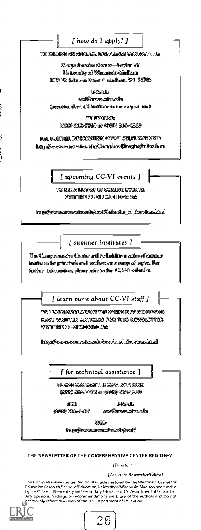#### [ how do I apply? ]

TO RECEIVE AN APPLICATION, PLEASE CONTAX THE:

Comprehensive Center—Region VI University of Wisconsin-Madison 1025 W. Johnson Sereet . Madham, WI 53706

Q=M1118

contanagemiscalu (ancontium the CXII institute in the subject line)

wilectscags (SSS) S62-7763 or (60S) 263-4220

POR FURTHER INFORMATION ABOUT (CCL PUEASE VISIT)  $\qquad \qquad \parallel$ DE0101iNambense. wisc.edu/Completed/bogips/indox.htm

[ upcoming CC-VI events ]

TO SEE A UST OF UPCOMMIC EVENTS. WISHT THE GC-VI CALENDAR AT:

hape//www.wese.wise.edu/ervi/Calendar\_of\_Services.hand

[ summer institutes ]

The Comprehensive Center will be holding a series of summer institutes for principals and teachers on a range of wrpics. For fundher *tnikomaation,* please refer ao dhe (XIVI calendar

[ learn more about CC-VI staff ]

 $100$  LEARN MORE ABOUT THE VARIOUS CC STAFF WHO HAVE WRITTEN ARTICUES FOR THIS NEWSLETTER, WISHT THE GC-VI WEESHTE AT:

 $longel$ /www.weaa.wisc.edu/ecvi/c\_of\_Sarviess.html

[ for technical assistance ]

PLEASE CONTACT THE CG-VIEW PHONE: (SSS) S62-7763 av (60S) 263-4220

**FAXS** 

B=MWMLs (608) 263-3733 ervi@mmecwisc.edu

W338

http://www.weenwisc.edukcvi/

#### THE NEWSLETTER OF THE COMPREHENSIVE CENTER REGION-VI

[Director)

IAssociate Rcseurcher/Editor]

The Comprehensive Center Region VI is administered by the Wisconsin Center for<br>Education Research, School of Education, University of Wisconsin-Madison and funded by the Office of Elementary and Secondary Education, U.S.Department of Education. Any opinions, findings, or recommendations are those of the authors and do not necessarily reflect the views of the U.S. Department of Education.



ξ

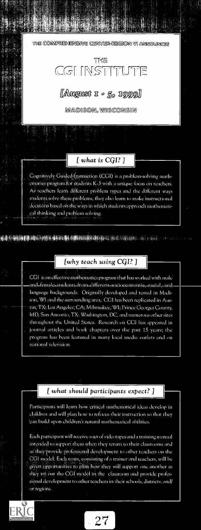THE COMPREHENSIVE CENTER-REGION VI ANNOUNCES



#### $[$ August I -  $5$ , I $\circ$ 990)

MADISON, WISCONSIN

#### $[$  what is CGI?  $]$

Cognitively Guided Instruction (CGI) is a problem-solving mathematics programsfor students  $K3$  with a unique focus on teachers. As teachers learn different problem types and the different ways students solve these problems, they also learn to make instructional decisions based on the ways in which students approach mathematical thinking and problem solving.

**雞剛車綿類鍾剛織料補細薄解購何欄種建體礦料抑**取傷事與料料。通回的

#### [why teach using CGI?

CGI is an effective mathematics program that has worked with male and-female-students-from-different-socioeconomic,-racial,-andlanguage backgrounds. Originally developed and tested in Madison, WI and the surrounding area, CGI has been replicated in Austin, TX; Los Angeles, CA; Milwaukee, WI; Prince Georges County, MD; San Antonio, TX; Washington, DC, and numerous other sites throughout, the United States. Research on COI has appeared in journal articles and book chapters over the past 15 years; the program has been featured in many local media outlets and on national television.

#### [ what should participants expect? ]

Participants will learn how critical mathematical ideas develop in children and will plan how to refocus their instruction so that they 'can build upon children's natural mathematical abilities.

Each participant will receive a set of videotapes and a training manual intended to support them whcn they return to their classrooms and as' they provide professional development to other teachers on the CGI model. Each team, consisting of a trainer and teachers, will be given opportunities to plan how they will support one another as they try out the CGI model in the classroom and provide professional development to other teachers in their schools, districts, and/ or regiOns.

 $27$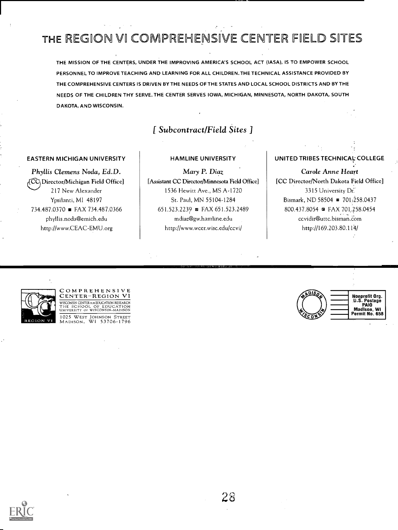# THE REGION VI COMPREHENSIVE CENTER FIELD SITES

THE MISSION OF THE CENTERS, UNDER THE IMPROVING AMERICA'S SCHOOL ACT (IASA), IS TO EMPOWER SCHOOL PERSONNEL TO IMPROVE TEACHING AND LEARNING FOR ALL CHILDREN. THE TECHNICAL ASSISTANCE PROVIDED BY THE COMPREHENSIVE CENTERS IS DRIVEN BY THE NEEDS OF THE STATES AND LOCAL SCHOOL DISTRICTS AND BY THE NEEDS OF THE CHILDREN THY SERVE. THE CENTER SERVES IOWA, MICHIGAN, MINNESOTA, NORTH DAKOTA, SOUTH DAKOTA, AND WISCONSIN.

#### I- Subcontract/Field Sites ]

#### EASTERN MICHIGAN UNIVERSITY

Phyllis Clemens Noda, Ed.D.  $r_{\rm c}$ ( $\widehat{\rm CC}_{\rm b}$ Director/Michigan Field Office] 217 New Alexander Ypsilanti, MI 48197 734.487.0370 ■ FAX 734.487.0366 phyllis.noda@ernich.edu http://www.CEAC-EMU.org

HAMLINE UNIVERSITY

Mary P. Diaz [Assistant CC Director/Minnesota Field Office] 1536 Hewitt Ave., MS A-1720 St. Paul, MN 55104-1284 651.523.2239 FAX 651.523.2489 mdiaz@gw.hamline.edu http://www.wcer.wisc.edu/ccvi/

#### UNITED TRIBES TECHNICAL COLLEGE

Carole Anne Heart [CC Director/North Dakota Field Office] 3315 University Di. Bismark, ND 58504 **201**:258.0437 800.437.8054 **G** FAX 701.258.0454 ccvidir@uttc.bisman.com http://169.203.80.114/